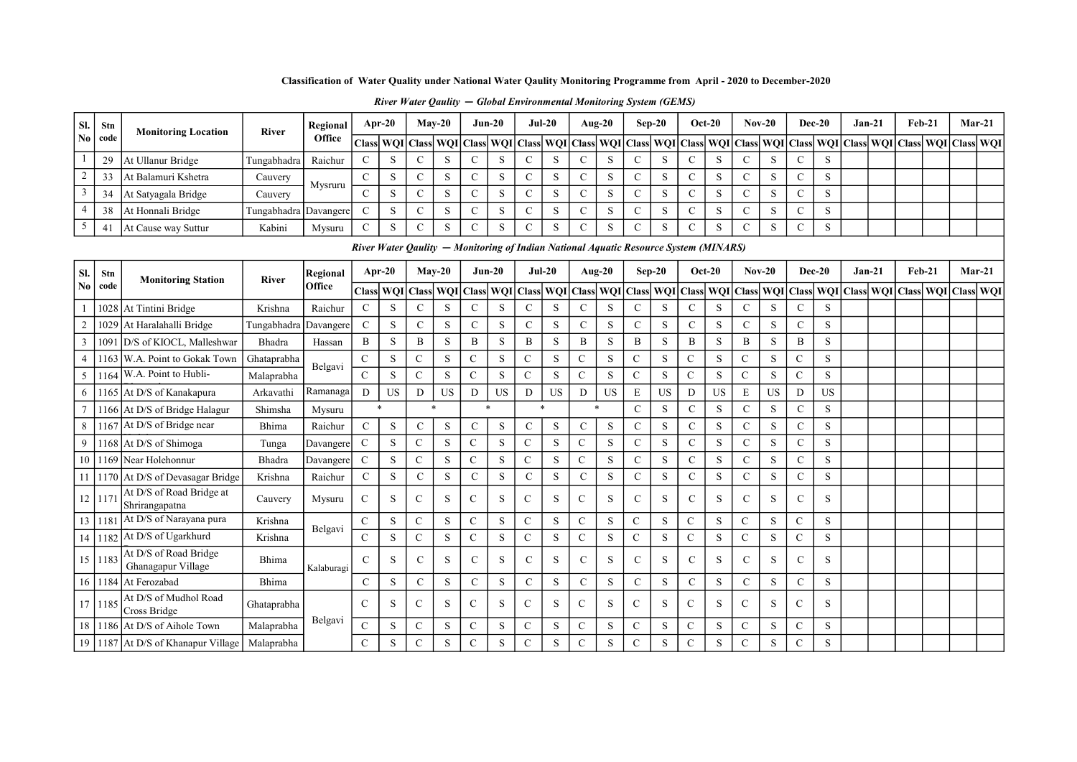| SI.                    | Stn         | <b>Monitoring Location</b>                  | River        | Regional           | Apr-20                                                                               |            |               | $Mav-20$      |               | $Jun-20$    | $Jul-20$                        |             |                  | Aug- $20$   | $Sep-20$      |             |               | $Oct-20$  |                   | $Nov-20$            | Dec-20        |             | $Jan-21$ |                        | $Feb-21$ |               | $Mar-21$ |
|------------------------|-------------|---------------------------------------------|--------------|--------------------|--------------------------------------------------------------------------------------|------------|---------------|---------------|---------------|-------------|---------------------------------|-------------|------------------|-------------|---------------|-------------|---------------|-----------|-------------------|---------------------|---------------|-------------|----------|------------------------|----------|---------------|----------|
| $\mathbf{N}\mathbf{0}$ | code        |                                             |              | Office             | <b>Class</b>                                                                         |            |               | WQI Class WQI | <b>Class</b>  |             | WQI Class                       |             | <b>WQI</b> Class | wQI         | <b>Class</b>  | WQI Class   |               |           |                   | WQI Class WQI Class |               | WQI         |          | <b>Class WOI</b> Class |          | WOI Class WOI |          |
|                        | 29          | At Ullanur Bridge                           | Tungabhadra  | Raichur            | $\mathbf C$                                                                          | S          | $\mathsf{C}$  | S             | $\mathsf{C}$  | S           | $\mathsf{C}$                    | S           | $\mathcal{C}$    | S           | $\mathsf{C}$  | S           | C             | S         | $\mathsf{C}$      | S                   | C             | S           |          |                        |          |               |          |
| $\overline{c}$         | 33          | At Balamuri Kshetra                         | Cauvery      |                    | $\mathcal{C}$                                                                        | S          | $\mathbf C$   | S             | $\mathsf{C}$  | S           | $\mathbf C$                     | S           | $\mathbf C$      | S           | $\mathcal{C}$ | S           | $\mathsf{C}$  | S         | $\mathbf C$       | S                   | $\mathsf{C}$  | S           |          |                        |          |               |          |
| 3                      | 34          | At Satyagala Bridge                         | Cauvery      | Mysruru            | $\mathsf{C}$                                                                         | S          | $\mathbf C$   | S             | $\mathbf C$   | S           | $\mathbf C$                     | S           | $\mathbf C$      | S           | $\mathsf{C}$  | S           | $\mathsf{C}$  | S         | $\mathbf C$       | S                   | $\mathsf{C}$  | S           |          |                        |          |               |          |
| 4                      | 38          | At Honnali Bridge                           | Tungabhadra  | Davangere          | $\mathcal{C}$                                                                        | S          | $\mathbf C$   | S             | $\mathbf C$   | S           | $\mathsf{C}$                    | S           | $\mathbf C$      | $\mathbf S$ | $\mathbf C$   | S           | $\mathsf{C}$  | S         | $\mathbf C$       | S                   | $\mathbf C$   | S           |          |                        |          |               |          |
| 5 <sup>5</sup>         | 41          | At Cause way Suttur                         | Kabini       | Mysuru             | $\mathsf{C}$                                                                         | S          | $\mathbf C$   | S             | $\mathcal{C}$ | S           | $\mathcal{C}$                   | S           | $\mathbf C$      | S           | $\mathbf C$   | S           | $\mathsf{C}$  | S         | $\mathcal{C}$     | S                   | $\mathbf C$   | S           |          |                        |          |               |          |
|                        |             |                                             |              |                    | River Water Qaulity – Monitoring of Indian National Aquatic Resource System (MINARS) |            |               |               |               |             |                                 |             |                  |             |               |             |               |           |                   |                     |               |             |          |                        |          |               |          |
|                        |             |                                             |              |                    | Apr-20                                                                               |            |               | $Mav-20$      |               | $Jun-20$    | $Jul-20$                        |             |                  | Aug- $20$   |               | $Sep-20$    |               | $Oct-20$  |                   | $Nov-20$            | $Dec-20$      |             |          | $Jan-21$               | $Feb-21$ |               | $Mar-21$ |
| SI.<br>No              | Stn<br>code | <b>Monitoring Station</b>                   | <b>River</b> | Regional<br>Office | <b>Class</b>                                                                         | <b>WQI</b> | Class WQI     |               | <b>Class</b>  |             | WQI   Class   WQI   Class   WQI |             |                  |             | <b>Class</b>  | WQI         | Class         |           | WQI   Class   WQI |                     | <b>Class</b>  | WQI         |          | <b>Class WOI</b> Class |          | WQI Class WQI |          |
|                        | 1028        | At Tintini Bridge                           | Krishna      | Raichur            | $\mathcal{C}$                                                                        | S          | $\mathsf{C}$  | S             | $\mathsf{C}$  | S           | $\mathcal{C}$                   | S           | C                | S           | $\mathsf{C}$  | S           | $\mathbf C$   | S         | $\mathcal{C}$     | S                   | $\mathcal{C}$ | S           |          |                        |          |               |          |
| $\overline{2}$         | 1029        | At Haralahalli Bridge                       | Tungabhadra  | Davangere          | $\mathbf C$                                                                          | S          | $\mathbf C$   | S             | $\mathsf{C}$  | $\,$ S      | $\mathbf C$                     | S           | $\mathbf C$      | S           | $\mathbf C$   | ${\bf S}$   | $\mathbf C$   | S         | $\mathbf C$       | S                   | $\mathbf C$   | $\mathbf S$ |          |                        |          |               |          |
| 3                      | 1091        | D/S of KIOCL, Malleshwar                    | Bhadra       | Hassan             | B                                                                                    | S          | B             | S             | $\mathbf B$   | S           | $\, {\bf B}$                    | S           | B                | $\mathbf S$ | B             | S           | B             | S         | B                 | S                   | B             | S           |          |                        |          |               |          |
|                        | 1163        | W.A. Point to Gokak Town                    | Ghataprabha  |                    | $\mathbf C$                                                                          | S          | C             | S             | $\mathbf C$   | $\mathbf S$ | $\mathbf C$                     | S           | С                | $\mathbf S$ | $\mathsf{C}$  | $\,$ S      | $\mathsf{C}$  | S         | $\mathsf{C}$      | S                   | $\mathbf C$   | S           |          |                        |          |               |          |
| 5                      | 1164        | W.A. Point to Hubli-                        | Malaprabha   | Belgavi            | $\mathcal{C}$                                                                        | S          | $\mathbf{C}$  | S             | $\mathcal{C}$ | S           | $\mathsf{C}$                    | S           | $\mathbf{C}$     | S           | $\mathcal{C}$ | S           | $\mathcal{C}$ | S         | $\mathbf C$       | S                   | $\mathcal{C}$ | S           |          |                        |          |               |          |
| 6                      |             | 1165 At D/S of Kanakapura                   | Arkavathi    | Ramanaga           | D                                                                                    | <b>US</b>  | D             | <b>US</b>     | $\mathbf D$   | US          | D                               | US          | D                | <b>US</b>   | E             | <b>US</b>   | D             | <b>US</b> | E                 | <b>US</b>           | D             | <b>US</b>   |          |                        |          |               |          |
|                        |             | 1166 At D/S of Bridge Halagur               | Shimsha      | Mysuru             | $\ast$                                                                               |            |               | $\ast$        |               |             | $\ast$                          |             |                  | $\ast$      | $\mathbf C$   | $\,$ S      | $\mathbf C$   | S         | $\mathbf C$       | S                   | $\mathcal{C}$ | ${\bf S}$   |          |                        |          |               |          |
| 8                      |             | 1167 At D/S of Bridge near                  | Bhima        | Raichur            | $\mathbf C$                                                                          | S          | $\mathbf C$   | ${\bf S}$     | $\mathsf{C}$  | $\mathbf S$ | $\mathbf C$                     | S           | ${\bf C}$        | ${\bf S}$   | $\mathsf{C}$  | S           | $\mathcal{C}$ | S         | $\mathbf C$       | S                   | $\mathsf{C}$  | S           |          |                        |          |               |          |
| 9                      | .168        | At D/S of Shimoga                           | Tunga        | Davangere          | $\mathbf C$                                                                          | S          | $\mathbf C$   | S             | $\mathbf C$   | S           | $\mathbf C$                     | S           | C                | S           | $\mathcal{C}$ | S           | $\mathsf{C}$  | S         | $\mathcal{C}$     | S                   | $\mathcal{C}$ | S           |          |                        |          |               |          |
| 10                     | 1169        | Near Holehonnur                             | Bhadra       | Davangere          | $\mathbf C$                                                                          | S          | $\mathbf C$   | S             | $\mathbf C$   | $\,$ S      | $\mathbf C$                     | $\mathbf S$ | $\mathbf C$      | $\mathbf S$ | $\mathbf C$   | S           | $\mathbf C$   | S         | $\mathbf C$       | S                   | $\mathbf C$   | S           |          |                        |          |               |          |
| 11 <sup>1</sup>        | 1170        | At D/S of Devasagar Bridge                  | Krishna      | Raichur            | $\mathbf C$                                                                          | S          | $\mathbf C$   | S             | $\mathbf C$   | $\,$ S      | $\mathbf C$                     | $\mathbf S$ | ${\bf C}$        | $\mathbf S$ | $\mathbf C$   | $\mathbf S$ | $\mathbf C$   | S         | $\mathbf C$       | S                   | $\mathsf{C}$  | $\mathbf S$ |          |                        |          |               |          |
| 12                     | 117         | At D/S of Road Bridge at<br>Shrirangapatna  | Cauvery      | Mysuru             | $\mathcal{C}$                                                                        | S          | $\mathbf C$   | S             | $\mathbf C$   | S           | $\mathsf{C}$                    | S           | $\mathbf C$      | S           | $\mathbf C$   | S           | $\mathsf{C}$  | S         | $\mathcal{C}$     | S                   | $\mathcal{C}$ | S           |          |                        |          |               |          |
| 13                     | 1181        | At D/S of Narayana pura                     | Krishna      |                    | $\mathsf{C}$                                                                         | S          | $\mathbf C$   | S             | ${\bf C}$     | S           | $\mathbf C$                     | S           | $\mathbf C$      | S           | $\mathsf{C}$  | S           | $\mathbf C$   | S         | $\mathbf C$       | S                   | $\mathsf{C}$  | S           |          |                        |          |               |          |
| 14                     | 1182        | At D/S of Ugarkhurd                         | Krishna      | Belgavi            | $\mathbf C$                                                                          | S          | $\mathbf{C}$  | S             | $\mathbf C$   | $\,$ S      | $\mathbf C$                     | S           | $\mathbf C$      | S           | $\mathbf C$   | $\,$ S      | $\mathbf C$   | S         | $\mathbf C$       | S                   | $\mathbf C$   | S           |          |                        |          |               |          |
| 15                     | 1183        | At D/S of Road Bridge<br>Ghanagapur Village | Bhima        | Kalaburagi         | $\mathbf C$                                                                          | S          | $\mathcal{C}$ | S             | $\mathbf C$   | S           | $\mathsf{C}$                    | S           | $\mathbf C$      | $\mathbf S$ | $\mathcal{C}$ | S           | $\mathcal{C}$ | S         | $\mathcal{C}$     | S                   | $\mathcal{C}$ | S           |          |                        |          |               |          |
| 16 <sup>1</sup>        | 1184        | At Ferozabad                                | Bhima        |                    | $\mathbf C$                                                                          | S          | $\mathbf C$   | S             | $\mathbf C$   | $\mathbf S$ | $\mathsf{C}$                    | S           | $\mathbf C$      | $\mathbf S$ | $\mathbf C$   | $\mathbf S$ | $\mathsf{C}$  | S         | $\mathbf C$       | S                   | $\mathsf{C}$  | S           |          |                        |          |               |          |
| 17 <sup>1</sup>        | 1185        | At D/S of Mudhol Road<br>Cross Bridge       | Ghataprabha  |                    | $\mathsf{C}$                                                                         | S          | $\mathcal{C}$ | S             | $\mathsf{C}$  | S           | $\mathbf C$                     | S           | C                | S           | $\mathsf{C}$  | S           | $\mathsf{C}$  | S         | $\mathcal{C}$     | S                   | $\mathsf{C}$  | S           |          |                        |          |               |          |
| 18 <sup>1</sup>        | 1186        | At D/S of Aihole Town                       | Malaprabha   | Belgavi            | $\mathbf C$                                                                          | S          | $\mathbf C$   | S             | $\mathbf C$   | S           | $\mathbf C$                     | S           | $\mathbf C$      | $\mathbf S$ | ${\bf C}$     | $\,$ S      | $\mathbf C$   | S         | $\mathbf C$       | S                   | $\mathbf C$   | S           |          |                        |          |               |          |
| 19                     |             | 1187 At D/S of Khanapur Village             | Malaprabha   |                    | $\mathsf{C}$                                                                         | S          | $\mathbf C$   | S             | $\mathbf C$   | S           | $\mathbf C$                     | S           | $\overline{C}$   | S           | $\mathsf{C}$  | S           | $\mathsf{C}$  | S         | $\mathbf C$       | S                   | $\mathbf C$   | S           |          |                        |          |               |          |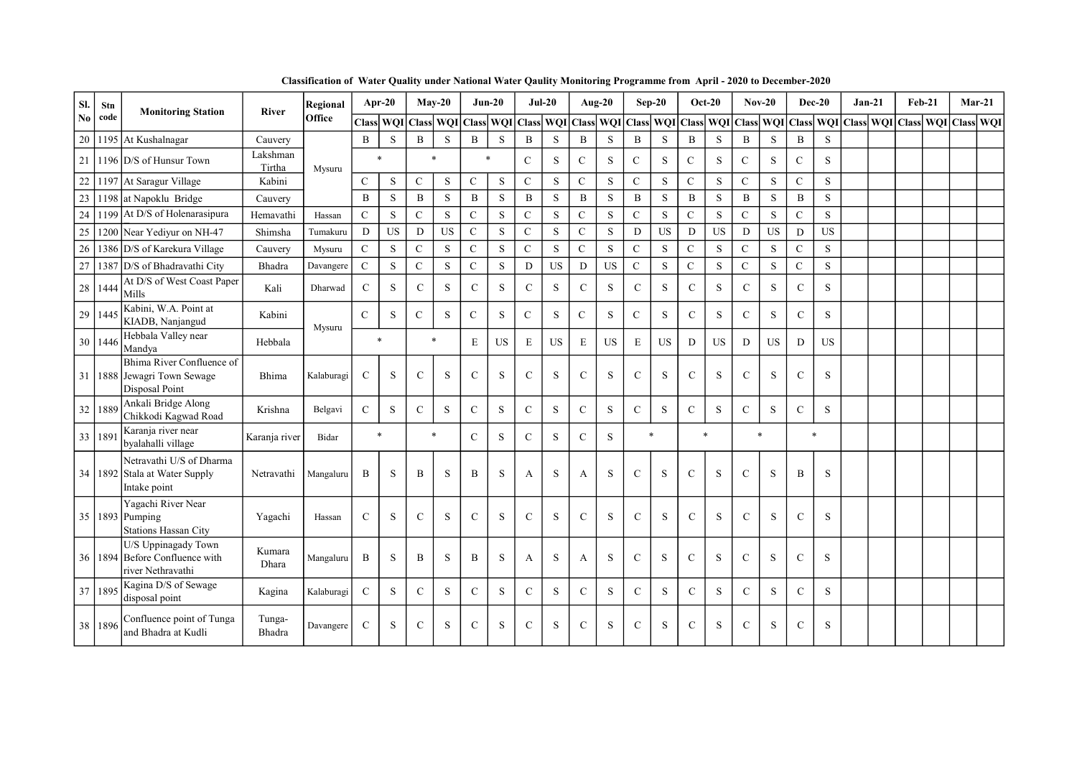| SI.            | Stn     | <b>Monitoring Station</b>                                                     | <b>River</b>       | Regional   |                           | Apr-20      |               | $Mav-20$    |               | $Jun-20$    |               | $Jul-20$  |               | Aug-20      |                | $Sep-20$                          |               | $Oct-20$  |                | $Nov-20$    |               | $Dec-20$    | $Jan-21$                                | Feb-21 |  | $Mar-21$ |
|----------------|---------|-------------------------------------------------------------------------------|--------------------|------------|---------------------------|-------------|---------------|-------------|---------------|-------------|---------------|-----------|---------------|-------------|----------------|-----------------------------------|---------------|-----------|----------------|-------------|---------------|-------------|-----------------------------------------|--------|--|----------|
| N <sub>0</sub> | code    |                                                                               |                    | Office     | Class   WQI   Class   WQI |             |               |             | <b>Class</b>  | WQI         | Class WQI     |           | Class WQI     |             | <b>Class</b>   | WQI Class WQI Class WQI Class WQI |               |           |                |             |               |             | Class   WQI   Class   WQI   Class   WQI |        |  |          |
| 20             |         | 1195 At Kushalnagar                                                           | Cauvery            |            | $\, {\bf B}$              | $\mathbf S$ | $\mathbf B$   | $\,$ S      | $\mathbf B$   | S           | $\, {\bf B}$  | S         | $\mathbf B$   | ${\bf S}$   | $\, {\bf B}$   | S                                 | B             | S         | $\mathbf B$    | S           | $\mathbf B$   | $\,$ S      |                                         |        |  |          |
| 21             |         | 1196 D/S of Hunsur Town                                                       | Lakshman<br>Tirtha | Mysuru     |                           | $\ast$      | $\star$       |             |               | $\ast$      | $\mathcal{C}$ | S         | $\mathsf{C}$  | S           | ${\bf C}$      | S                                 | $\mathsf{C}$  | S         | $\mathcal{C}$  | S           | $\mathbf C$   | S           |                                         |        |  |          |
| $22\,$         |         | 1197 At Saragur Village                                                       | Kabini             |            | $\mathbf C$               | S           | ${\bf C}$     | S           | $\mathbf C$   | S           | ${\bf C}$     | S         | $\mathbf C$   | S           | ${\bf C}$      | ${\bf S}$                         | $\mathbf C$   | S         | $\mathbf C$    | S           | $\mathbf C$   | $\mathbf S$ |                                         |        |  |          |
| 23             |         | 1198 at Napoklu Bridge                                                        | Cauvery            |            | $\mathbf{B}$              | $\mathbf S$ | $\mathbf{B}$  | S           | $\mathbf B$   | S           | B             | S         | $\mathbf B$   | S           | $\mathbf B$    | S                                 | B             | S         | $\mathbf{B}$   | S.          | $\mathbf{B}$  | S           |                                         |        |  |          |
| 24             |         | 1199 $A$ t D/S of Holenarasipura                                              | Hemavathi          | Hassan     | $\overline{C}$            | S           | $\mathbf C$   | $\,$ S      | $\mathbf{C}$  | S           | $\mathbf C$   | S         | $\mathbf C$   | $\mathbf S$ | $\overline{C}$ | S                                 | $\mathbf C$   | S         | $\overline{C}$ | S           | $\mathbf C$   | S           |                                         |        |  |          |
| 25             |         | 1200 Near Yediyur on NH-47                                                    | Shimsha            | Tumakuru   | D                         | <b>US</b>   | D             | $_{\rm US}$ | $\mathbf C$   | S           | $\mathbf C$   | S         | $\mathbf C$   | S           | D              | <b>US</b>                         | D             | <b>US</b> | D              | $_{\rm US}$ | D             | <b>US</b>   |                                         |        |  |          |
| $26\,$         |         | 1386 D/S of Karekura Village                                                  | Cauvery            | Mysuru     | $\mathbf C$               | $\mathbf S$ | ${\bf C}$     | S           | $\mathbf C$   | S           | $\mathbf C$   | S         | $\mathbf C$   | ${\bf S}$   | $\mathbf C$    | ${\bf S}$                         | $\mathbf C$   | $\,$ S    | $\mathbf C$    | S           | ${\bf C}$     | $\mathbf S$ |                                         |        |  |          |
| 27             |         | 1387 D/S of Bhadravathi City                                                  | Bhadra             | Davangere  | $\mathbf C$               | $\mathbf S$ | $\mathbf C$   | $\,$ S      | $\mathbf C$   | $\,$ S      | $\mathbf D$   | <b>US</b> | D             | <b>US</b>   | $\mathbf C$    | S                                 | $\mathbf C$   | S         | $\mathbf C$    | S           | $\mathbf C$   | $\mathbf S$ |                                         |        |  |          |
| 28             | 1444    | At D/S of West Coast Paper<br>Mills                                           | Kali               | Dharwad    | $\mathbf C$               | S           | $\mathcal{C}$ | S           | $\mathbf C$   | S           | $\mathcal{C}$ | S         | $\mathcal{C}$ | S           | $\mathbf C$    | S                                 | $\mathcal{C}$ | S         | $\mathsf{C}$   | S           | $\mathbf C$   | S           |                                         |        |  |          |
| 29             | 1445    | Kabini, W.A. Point at<br>KIADB, Naniangud                                     | Kabini             |            | $\mathbf{C}$              | S           | $\mathsf{C}$  | S           | $\mathsf{C}$  | S           | $\mathbf C$   | S         | $\mathsf{C}$  | S           | $\mathsf{C}$   | S                                 | $\mathbf C$   | S         | $\mathsf{C}$   | S           | $\mathsf{C}$  | S           |                                         |        |  |          |
|                | 30 1446 | Hebbala Valley near<br>Mandva                                                 | Hebbala            | Mysuru     |                           | $\ast$      | $\ast$        |             | E             | <b>US</b>   | E             | <b>US</b> | E             | <b>US</b>   | $\mathbf E$    | <b>US</b>                         | D             | <b>US</b> | D              | <b>US</b>   | D             | <b>US</b>   |                                         |        |  |          |
| 31             |         | Bhima River Confluence of<br>1888 Jewagri Town Sewage<br>Disposal Point       | Bhima              | Kalaburagi | $\mathbf C$               | S           | $\mathbf C$   | S           | $\mathbf C$   | $\mathbf S$ | $\mathbf C$   | S         | $\mathsf{C}$  | ${\bf S}$   | $\mathbf C$    | S                                 | $\mathsf{C}$  | S         | $\mathsf{C}$   | S           | $\mathbf C$   | ${\bf S}$   |                                         |        |  |          |
| 32             | 1889    | Ankali Bridge Along<br>Chikkodi Kagwad Road                                   | Krishna            | Belgavi    | $\mathcal{C}$             | S           | $\mathcal{C}$ | S           | $\mathsf{C}$  | S           | $\mathcal{C}$ | S         | $\mathbf C$   | S           | $\mathbf C$    | S                                 | $\mathcal{C}$ | S         | $\mathcal{C}$  | S           | $\mathcal{C}$ | S           |                                         |        |  |          |
| 33             | 189     | Karanja river near<br>byalahalli village                                      | Karanja river      | Bidar      |                           | $\ast$      | $\ast$        |             | $\mathcal{C}$ | S           | $\mathcal{C}$ | S         | $\mathbf C$   | S           |                | $\ast$                            | $\star$       |           |                | $\ast$      |               | $\ast$      |                                         |        |  |          |
|                |         | Netravathi U/S of Dharma<br>34   1892   Stala at Water Supply<br>Intake point | Netravathi         | Mangaluru  | B                         | S           | $\bf{B}$      | S           | B             | S           | A             | S         | A             | S           | $\mathsf{C}$   | S                                 | $\mathsf{C}$  | S         | $\mathcal{C}$  | S           | B             | S           |                                         |        |  |          |
|                |         | Yagachi River Near<br>35 1893 Pumping<br><b>Stations Hassan City</b>          | Yagachi            | Hassan     | $\mathcal{C}$             | S           | $\mathcal{C}$ | S           | $\mathbf C$   | S           | $\mathcal{C}$ | S         | $\mathcal{C}$ | S           | $\mathsf{C}$   | S                                 | $\mathsf{C}$  | S         | $\mathcal{C}$  | S           | $\mathbf C$   | S           |                                         |        |  |          |
| 36             |         | U/S Uppinagady Town<br>1894 Before Confluence with<br>river Nethravathi       | Kumara<br>Dhara    | Mangaluru  | B                         | S           | B             | S           | B             | S           | A             | S         | A             | S           | $\mathbf C$    | ${\bf S}$                         | $\mathsf{C}$  | S         | $\mathbf C$    | S           | $\mathcal{C}$ | S           |                                         |        |  |          |
| 37             | 1895    | Kagina D/S of Sewage<br>disposal point                                        | Kagina             | Kalaburagi | $\mathbf C$               | $\mathbf S$ | $\mathcal{C}$ | S           | $\mathbf C$   | S           | $\mathcal{C}$ | S         | $\mathcal{C}$ | S           | $\mathbf C$    | S                                 | $\mathsf{C}$  | S         | $\mathsf{C}$   | S           | $\mathcal{C}$ | S           |                                         |        |  |          |
| 38             | 1896    | Confluence point of Tunga<br>and Bhadra at Kudli                              | Tunga-<br>Bhadra   | Davangere  | $\mathbf C$               | S           | $\mathbf C$   | S           | $\mathbf C$   | S           | $\mathbf C$   | S         | $\mathbf C$   | S           | $\mathsf{C}$   | S                                 | $\mathbf C$   | S         | $\mathbf C$    | $\mathbf S$ | $\mathbf C$   | S           |                                         |        |  |          |

Classification of Water Quality under National Water Qaulity Monitoring Programme from April - 2020 to December-2020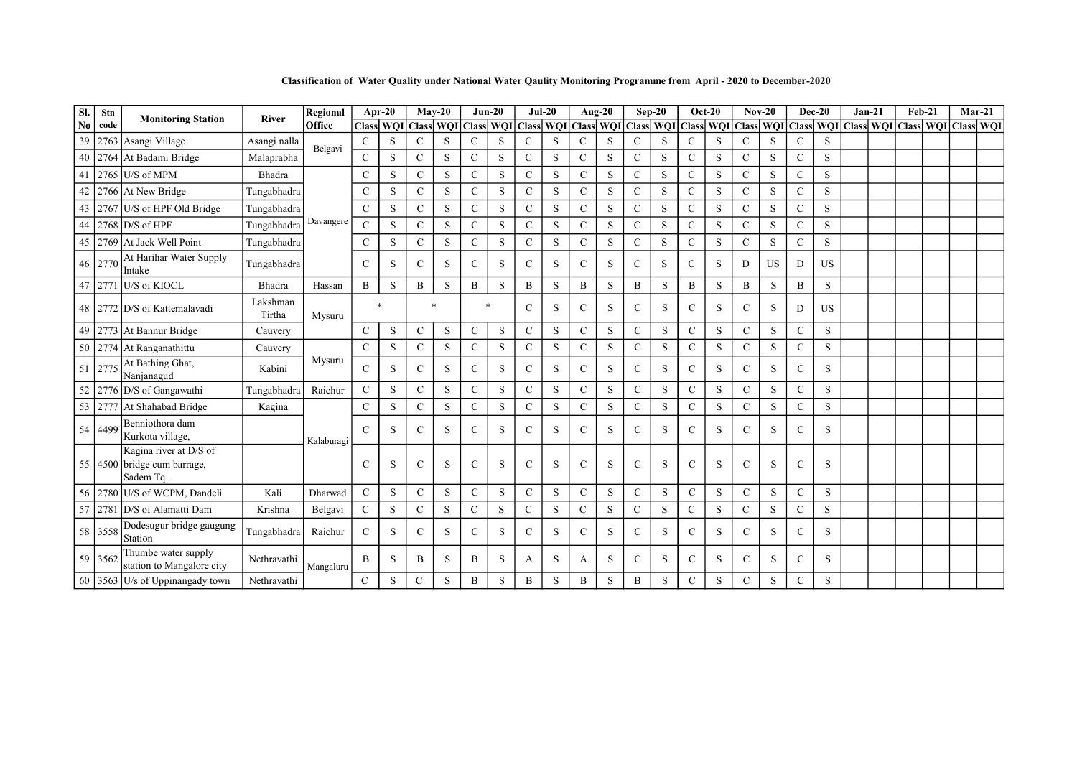Classification of Water Quality under National Water Qaulity Monitoring Programme from April - 2020 to December-2020

| SI.            | Stn     | <b>Monitoring Station</b>                                          | <b>River</b>       | Regional   |               | Apr-20      |               | $Mav-20$                                | $Jun-20$      |             | $Jul-20$      |           |               | Aug- $20$   |               | $Sep-20$  |               | $Oct-20$ |               | $Nov-20$                      | $Dec-20$      |             | $Jan-21$                                | Feb-21 |  | $Mar-21$ |
|----------------|---------|--------------------------------------------------------------------|--------------------|------------|---------------|-------------|---------------|-----------------------------------------|---------------|-------------|---------------|-----------|---------------|-------------|---------------|-----------|---------------|----------|---------------|-------------------------------|---------------|-------------|-----------------------------------------|--------|--|----------|
| N <sub>0</sub> | code    |                                                                    |                    | Office     |               |             |               | Class WQI Class WQI Class WQI Class WQI |               |             |               |           | Class WQI     |             | <b>Class</b>  |           |               |          |               | WQI Class WQI Class WQI Class |               | <b>WQI</b>  | Class   WQI   Class   WQI   Class   WQI |        |  |          |
| 39             |         | 2763 Asangi Village                                                | Asangi nalla       | Belgavi    | $\mathcal{C}$ | S           | $\mathsf{C}$  | S                                       | $\mathcal{C}$ | S           | $\mathcal{C}$ | S         | C             | S           | $\mathsf{C}$  | S         | $\mathbf C$   | S        | $\mathcal{C}$ | S                             | $\mathcal{C}$ | S           |                                         |        |  |          |
| 40             |         | 2764 At Badami Bridge                                              | Malaprabha         |            | $\mathcal{C}$ | S           | $\mathbf C$   | S                                       | $\mathsf{C}$  | S           | $\mathcal{C}$ | S         | $\mathbf C$   | S           | $\mathbf C$   | S         | $\mathcal{C}$ | S        | $\mathcal{C}$ | S                             | $\mathbf C$   | $\,$ S      |                                         |        |  |          |
| 41             |         | $2765$ U/S of MPM                                                  | Bhadra             |            | $\mathcal{C}$ | S           | $\mathbf{C}$  | S                                       | $\mathsf{C}$  | S           | $\mathcal{C}$ | S         | $\mathbf C$   | S           | $\mathsf{C}$  | S         | $\mathcal{C}$ | S        | $\mathbf C$   | S                             | $\mathbf C$   | S           |                                         |        |  |          |
| 42             |         | 2766 At New Bridge                                                 | Tungabhadra        |            | $\mathcal{C}$ | S           | $\mathbf{C}$  | S                                       | $\mathbf C$   | S           | $\mathsf{C}$  | S         | $\mathbf C$   | S           | $\mathbf C$   | S         | $\mathsf{C}$  | S        | $\mathcal{C}$ | S                             | $\mathcal{C}$ | S           |                                         |        |  |          |
| 43             |         | 2767 U/S of HPF Old Bridge                                         | Tungabhadra        |            | $\mathcal{C}$ | S           | $\mathbf{C}$  | S                                       | $\mathcal{C}$ | S           | $\mathbf C$   | S         | $\mathbf C$   | S           | $\mathsf{C}$  | S         | $\mathcal{C}$ | S        | $\mathcal{C}$ | S                             | $\mathcal{C}$ | S           |                                         |        |  |          |
| 44             |         | $2768$ D/S of HPF                                                  | Tungabhadra        | Davangere  | $\mathbf C$   | S           | $\mathbf{C}$  | S                                       | $\mathsf{C}$  | S           | $\mathsf{C}$  | S         | $\mathbf C$   | S           | $\mathsf{C}$  | S         | $\mathcal{C}$ | S        | $\mathcal{C}$ | S                             | $\mathbf C$   | $\,$ S      |                                         |        |  |          |
| 45             |         | 2769 At Jack Well Point                                            | Tungabhadra        |            | $\mathcal{C}$ | S           | $\mathbf C$   | S                                       | $\mathcal{C}$ | S           | $\mathsf{C}$  | S         | $\mathbf C$   | S           | $\mathsf{C}$  | S         | $\mathbf C$   | S        | C             | S                             | $\mathsf{C}$  | S           |                                         |        |  |          |
|                | 46 2770 | At Harihar Water Supply<br>Intake                                  | Tungabhadra        |            | $\mathcal{C}$ | S           | $\mathbf C$   | S                                       | $\mathcal{C}$ | S           | C             | S         | $\mathcal{C}$ | S           | $\mathbf C$   | S         | $\mathsf{C}$  | S        | D             | <b>US</b>                     | D             | <b>US</b>   |                                         |        |  |          |
|                |         | 47 2771 U/S of KIOCL                                               | Bhadra             | Hassan     | $\mathbf B$   | $\mathbf S$ | B             | S                                       | B             | $\mathbf S$ | B             | $\,$ S    | B             | S           | B             | $\,$ S    | B             | S        | B             | S                             | B             | $\,$ S      |                                         |        |  |          |
|                |         | 48 2772 D/S of Kattemalavadi                                       | Lakshman<br>Tirtha | Mysuru     | $\ast$        |             |               | $\ast$                                  |               |             | $\mathsf{C}$  | S         | $\mathcal{C}$ | S           | $\mathsf{C}$  | S         | $\mathcal{C}$ | S        | $\mathcal{C}$ | S                             | D             | US          |                                         |        |  |          |
|                |         | 49   2773   At Bannur Bridge                                       | Cauvery            |            | $\mathbf C$   | S           | $\mathbf C$   | $\mathbf S$                             | $\mathbf C$   | $\mathbf S$ | $\mathbf C$   | S         | $\mathbf C$   | $\mathbf S$ | $\mathbf C$   | $\,$ S    | $\mathbf C$   | S        | $\mathbf C$   | ${\bf S}$                     | $\mathbf C$   | $\mathbf S$ |                                         |        |  |          |
|                |         | 50 2774 At Ranganathittu                                           | Cauvery            |            | $\mathbf C$   | $\mathbf S$ | $\mathbf C$   | S                                       | $\mathbf C$   | $\mathbf S$ | $\mathbf C$   | ${\bf S}$ | $\mathbf C$   | $\mathbf S$ | $\mathbf C$   | ${\bf S}$ | $\mathbf C$   | S        | $\mathbf C$   | S                             | $\mathsf{C}$  | $\mathbf S$ |                                         |        |  |          |
| 51             | 2775    | At Bathing Ghat,<br>Nanjanagud                                     | Kabini             | Mysuru     | $\mathcal{C}$ | S           | $\mathcal{C}$ | S                                       | $\mathcal{C}$ | S           | $\mathsf{C}$  | S         | $\mathcal{C}$ | S           | $\mathcal{C}$ | S         | $\mathcal{C}$ | S        | $\mathcal{C}$ | S                             | $\mathcal{C}$ | S           |                                         |        |  |          |
| 52             |         | 2776 D/S of Gangawathi                                             | Tungabhadra        | Raichur    | $\mathbf C$   | S           | $\mathsf{C}$  | S                                       | $\mathsf{C}$  | $\mathbf S$ | $\mathsf{C}$  | S         | $\mathbf C$   | S           | $\mathsf{C}$  | $\,$ S    | $\mathbf C$   | S        | $\mathsf{C}$  | S                             | $\mathsf{C}$  | ${\bf S}$   |                                         |        |  |          |
|                |         | 53 2777 At Shahabad Bridge                                         | Kagina             |            | $\mathcal{C}$ | S           | $\mathbf{C}$  | S                                       | $\mathcal{C}$ | S           | $\mathcal{C}$ | S         | $\mathbf C$   | S           | $\mathbf C$   | S         | $\mathcal{C}$ | S        | $\mathcal{C}$ | S                             | $\mathcal{C}$ | S           |                                         |        |  |          |
|                | 54 4499 | Benniothora dam<br>Kurkota village,                                |                    | Kalaburagi | $\mathcal{C}$ | S           | $\mathcal{C}$ | S                                       | $\mathcal{C}$ | S           | C             | S         | $\mathcal{C}$ | S           | $\mathbf C$   | S         | $\mathcal{C}$ | S        | $\mathcal{C}$ | S                             | $\mathcal{C}$ | S           |                                         |        |  |          |
|                |         | Kagina river at D/S of<br>55 4500 bridge cum barrage,<br>Sadem Tq. |                    |            | $\mathcal{C}$ | S           | $\mathbf C$   | S                                       | $\mathsf{C}$  | S           | $\mathbf C$   | S         | $\mathcal{C}$ | $\mathbf S$ | $\mathsf{C}$  | S         | $\mathbf C$   | S        | $\mathbf C$   | S                             | $\mathsf{C}$  | S           |                                         |        |  |          |
|                |         | 56 2780 U/S of WCPM, Dandeli                                       | Kali               | Dharwad    | $\mathbf C$   | S           | $\mathcal{C}$ | S                                       | $\mathbf C$   | $\,$ S      | $\mathsf{C}$  | S         | $\mathcal{C}$ | S           | $\mathbf C$   | $\,$ S    | $\mathbf C$   | S        | $\mathsf{C}$  | S                             | $\mathsf{C}$  | S           |                                         |        |  |          |
|                |         | 57 2781 D/S of Alamatti Dam                                        | Krishna            | Belgavi    | $\mathbf C$   | S           | $\mathcal{C}$ | S                                       | $\mathcal{C}$ | S           | $\mathcal{C}$ | S         | $\mathbf{C}$  | S           | $\mathbf C$   | S         | $\mathcal{C}$ | S        | $\mathcal{C}$ | S                             | $\mathbf C$   | $\,$ S      |                                         |        |  |          |
|                | 58 3558 | Dodesugur bridge gaugung<br>Station                                | Tungabhadra        | Raichur    | $\mathcal{C}$ | S           | $\mathsf{C}$  | S                                       | $\mathcal{C}$ | S           | $\mathsf{C}$  | S         | $\mathcal{C}$ | S           | $\mathsf{C}$  | S         | $\mathsf{C}$  | S        | $\mathsf{C}$  | S                             | $\mathcal{C}$ | S           |                                         |        |  |          |
|                | 59 3562 | Thumbe water supply<br>station to Mangalore city                   | Nethravathi        | Mangaluru  | B             | S           | B             | S                                       | B             | S           | A             | S         | A             | S           | $\mathsf{C}$  | S         | $\mathcal{C}$ | S        | $\mathcal{C}$ | S                             | $\mathcal{C}$ | S           |                                         |        |  |          |
|                |         | 60 3563 $U/s$ of Uppinangady town                                  | Nethravathi        |            | $\mathbf C$   | S           | $\mathbf C$   | S                                       | B             | S           | $\mathbf B$   | S         | B             | S           | B             | S         | $\mathbf C$   | S        | $\mathbf C$   | S                             | $\mathcal{C}$ | S           |                                         |        |  |          |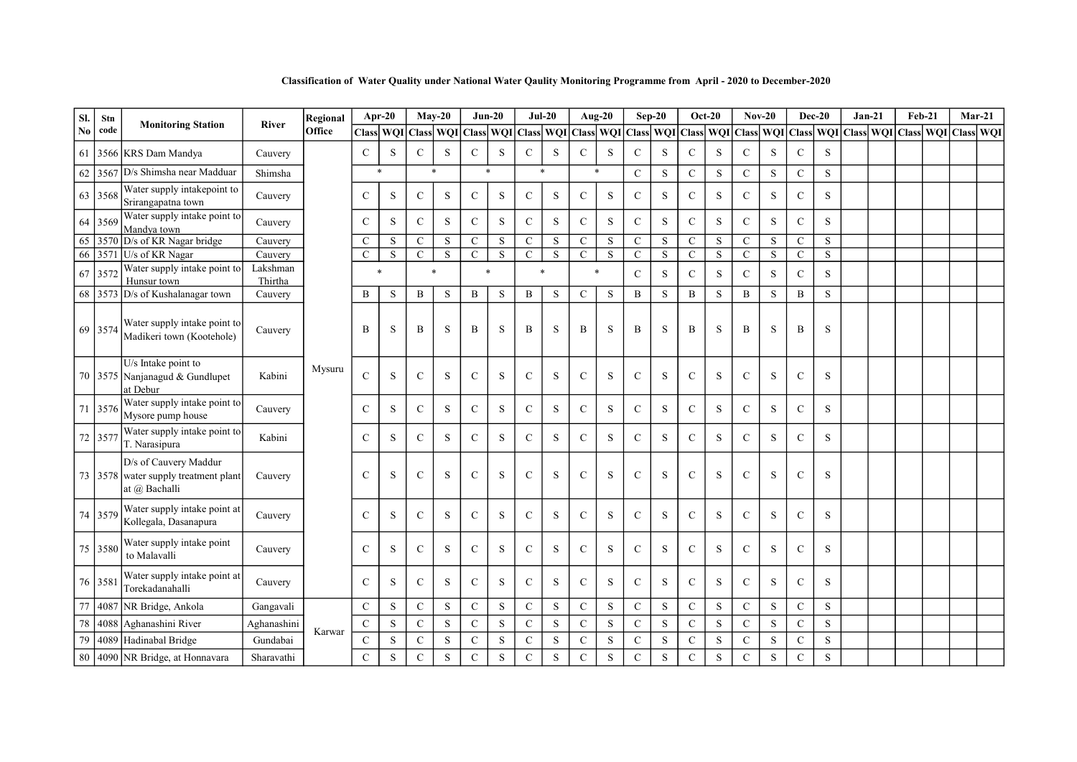| SI. | Stn     |                                                                                |                     | Regional |               | Apr-20    |                | $May-20$       |                | $Jun-20$       | $Jul-20$     |                |                | Aug-20         | $Sep-20$       |             |               | <b>Oct-20</b> |                | $Nov-20$    | Dec-20         |             | $Jan-21$                                                                                                                                                                                                                     | <b>Feb-21</b> |  | $Mar-21$ |
|-----|---------|--------------------------------------------------------------------------------|---------------------|----------|---------------|-----------|----------------|----------------|----------------|----------------|--------------|----------------|----------------|----------------|----------------|-------------|---------------|---------------|----------------|-------------|----------------|-------------|------------------------------------------------------------------------------------------------------------------------------------------------------------------------------------------------------------------------------|---------------|--|----------|
| No  | code    | <b>Monitoring Station</b>                                                      | <b>River</b>        | Office   | <b>Class</b>  |           |                | WQI Class WQI  |                |                |              |                |                |                |                |             |               |               |                |             |                |             | Class    WQI    Class    WQI    Class    WQI    Class    WQI    Class    WQI    Class    WQI    Class    WQI    Class    WQI    Class    WQI    Class    WQI    Class    WQI    Class    WQI    Class    WQI    Class    WQI |               |  |          |
| 61  | 3566    | <b>KRS</b> Dam Mandya                                                          | Cauvery             |          | $\mathbf C$   | S         | $\mathbf C$    | S              | $\mathsf{C}$   | S              | C            | S              | $\mathbf C$    | S              | $\mathsf{C}$   | S           | $\mathbf C$   | S             | $\mathcal{C}$  | S           | ${\bf C}$      | S           |                                                                                                                                                                                                                              |               |  |          |
| 62  |         | 3567 D/s Shimsha near Madduar                                                  | Shimsha             |          |               | $\ast$    |                | $\ast$         |                | $\ast$         | $\ast$       |                |                | $\ast$         | $\mathcal{C}$  | S           | $\mathbf C$   | S             | $\mathbf C$    | S           | $\mathbf C$    | S           |                                                                                                                                                                                                                              |               |  |          |
|     | 63 3568 | Water supply intakepoint to<br>Srirangapatna town                              | Cauvery             |          | C             | S         | $\mathsf{C}$   | S              | $\mathsf{C}$   | S              | $\mathsf{C}$ | S              | $\mathbf C$    | S              | $\mathsf{C}$   | ${\bf S}$   | $\mathbf C$   | S             | $\mathbf C$    | S           | $\mathcal{C}$  | S           |                                                                                                                                                                                                                              |               |  |          |
|     | 64 3569 | Water supply intake point to<br>Mandva town                                    | Cauvery             |          | $\mathsf{C}$  | S         | $\mathbf C$    | S              | $\mathbf C$    | $\mathbf S$    | $\mathbf C$  | $\mathbf S$    | $\mathbf C$    | ${\bf S}$      | $\mathbf C$    | ${\bf S}$   | $\mathbf C$   | S             | $\mathbf C$    | ${\bf S}$   | $\mathbf C$    | S           |                                                                                                                                                                                                                              |               |  |          |
| 65  |         | 3570 D/s of KR Nagar bridge                                                    | Cauvery             |          | $\mathsf{C}$  | S         | $\mathbf C$    | S              | $\mathsf{C}$   | S              | $\mathbf C$  | S              | $\mathbf C$    | ${\bf S}$      | $\mathcal{C}$  | S           | $\mathbf C$   | S             | $\mathsf{C}$   | S           | $\mathsf{C}$   | S           |                                                                                                                                                                                                                              |               |  |          |
| 66  |         | 3571 U/s of KR Nagar                                                           | Cauvery             |          | $\mathsf{C}$  | S         | $\overline{C}$ | $\overline{s}$ | $\overline{C}$ | $\overline{s}$ | $\mathbf C$  | $\overline{s}$ | $\overline{C}$ | $\overline{s}$ | $\overline{C}$ | $\,$ S      | $\mathbf C$   | $\mathbf S$   | $\overline{C}$ | $\mathbf S$ | $\mathbf C$    | $\,$ S      |                                                                                                                                                                                                                              |               |  |          |
| 67  | 3572    | Water supply intake point to<br>Hunsur town                                    | Lakshman<br>Thirtha |          |               |           |                | $\ast$         |                |                | $\ast$       |                |                | $\ast$         | $\mathbf C$    | $\,$ S      | $\mathbf C$   | S             | $\mathbf C$    | S           | $\mathbf C$    | S           |                                                                                                                                                                                                                              |               |  |          |
| 68  | 3573    | D/s of Kushalanagar town                                                       | Cauvery             |          | B             | S         | B              | S              | B              | S              | B            | S              | $\mathcal{C}$  | S              | $\mathbf B$    | S           | B             | S             | B              | S           | $\mathbf{B}$   | S           |                                                                                                                                                                                                                              |               |  |          |
|     | 69 3574 | Water supply intake point to<br>Madikeri town (Kootehole)                      | Cauvery             |          | B             | S         | B              | S              | B              | S              | B            | S              | B              | S              | B              | S           | B             | S             | B              | S           | B              | S           |                                                                                                                                                                                                                              |               |  |          |
|     |         | U/s Intake point to<br>70 3575 Nanjanagud & Gundlupet<br>at Debur              | Kabini              | Mysuru   | $\mathbf C$   | S         | $\mathbf C$    | S              | $\mathbf C$    | $\,$ S         | $\mathbf C$  | S              | $\mathsf{C}$   | S              | $\mathsf{C}$   | S           | $\mathbf C$   | S             | $\mathsf{C}$   | S           | $\mathsf{C}$   | S           |                                                                                                                                                                                                                              |               |  |          |
|     | 71 3576 | Water supply intake point to<br>Mysore pump house                              | Cauvery             |          | $\mathsf{C}$  | S         | $\mathbf C$    | S              | $\mathbf C$    | $\,$ S         | $\mathbf C$  | S              | $\mathbf C$    | S              | $\mathbf C$    | $\,$ S      | $\mathbf C$   | S             | $\mathbf C$    | S           | $\mathsf{C}$   | S           |                                                                                                                                                                                                                              |               |  |          |
|     | 72 3577 | Water supply intake point to<br>T. Narasipura                                  | Kabini              |          | $\mathsf{C}$  | S         | $\mathcal{C}$  | S              | $\mathcal{C}$  | S              | $\mathsf{C}$ | S              | $\mathcal{C}$  | S              | $\mathbf C$    | S           | $\mathcal{C}$ | S             | $\mathcal{C}$  | S           | $\mathcal{C}$  | S           |                                                                                                                                                                                                                              |               |  |          |
|     |         | D/s of Cauvery Maddur<br>73 3578 water supply treatment plant<br>at @ Bachalli | Cauvery             |          | $\mathbf C$   | S         | $\mathbf C$    | S              | $\mathcal{C}$  | S              | $\mathbf C$  | S              | $\mathbf C$    | $\mathbf S$    | $\mathsf{C}$   | S           | $\mathbf C$   | S             | $\mathcal{C}$  | S           | $\mathcal{C}$  | S           |                                                                                                                                                                                                                              |               |  |          |
|     | 74 3579 | Water supply intake point at<br>Kollegala, Dasanapura                          | Cauvery             |          | $\mathcal{C}$ | S         | $\mathcal{C}$  | S              | $\mathbf C$    | S              | $\mathbf C$  | S              | $\mathbf C$    | S              | $\mathbf C$    | S           | $\mathbf C$   | S             | $\mathbf C$    | S           | $\mathcal{C}$  | S           |                                                                                                                                                                                                                              |               |  |          |
|     | 75 3580 | Water supply intake point<br>to Malavalli                                      | Cauvery             |          | $\mathcal{C}$ | S         | $\mathcal{C}$  | S              | $\mathbf C$    | S              | $\mathbf C$  | S              | $\mathbf C$    | $\,$ S         | $\mathbf C$    | S           | $\mathbf C$   | S             | $\mathbf C$    | S           | $\mathcal{C}$  | S           |                                                                                                                                                                                                                              |               |  |          |
|     | 76 358  | Water supply intake point at<br>Torekadanahalli                                | Cauvery             |          | $\mathcal{C}$ | S         | $\mathbf C$    | S              | $\mathsf{C}$   | S              | $\mathbf C$  | S              | $\mathbf C$    | S              | $\mathsf{C}$   | S           | $\mathbf C$   | S             | $\mathsf{C}$   | S           | $\mathsf{C}$   | S           |                                                                                                                                                                                                                              |               |  |          |
| 77  | 4087    | NR Bridge, Ankola                                                              | Gangavali           |          | $\mathsf{C}$  | S         | ${\bf C}$      | $\mathbf S$    | ${\bf C}$      | $\mathbf S$    | $\mathbf C$  | $\mathbf S$    | $\mathbf C$    | $\mathbf S$    | ${\bf C}$      | ${\bf S}$   | $\mathsf{C}$  | S             | ${\bf C}$      | $\mathbf S$ | $\mathbf C$    | $\mathbf S$ |                                                                                                                                                                                                                              |               |  |          |
| 78  | 4088    | Aghanashini River                                                              | Aghanashini         | Karwar   | $\mathbf C$   | S         | $\mathbf C$    | S              | $\mathbf C$    | $\,$ S         | $\mathbf C$  | S              | ${\bf C}$      | $\mathbf S$    | $\mathbf C$    | S           | $\mathsf{C}$  | S             | $\mathbf C$    | S           | $\mathbf C$    | S           |                                                                                                                                                                                                                              |               |  |          |
| 79  | 4089    | Hadinabal Bridge                                                               | Gundabai            |          | $\mathsf{C}$  | ${\bf S}$ | ${\bf C}$      | $\mathbf S$    | ${\bf C}$      | $\mathbf S$    | $\mathbf C$  | $\mathbf S$    | $\mathbf C$    | $\mathbf S$    | ${\bf C}$      | $\mathbf S$ | ${\bf C}$     | S             | ${\bf C}$      | $\mathbf S$ | $\mathbf C$    | $\mathbf S$ |                                                                                                                                                                                                                              |               |  |          |
| 80  |         | 4090 NR Bridge, at Honnavara                                                   | Sharavathi          |          | $\mathbf C$   | S         | $\mathbf C$    | $\rm S$        | $\overline{C}$ | $\mathbf S$    | $\mathbf C$  | $\rm S$        | $\overline{C}$ | $\mathbf S$    | $\overline{C}$ | $\mathbf S$ | $\mathbf C$   | S             | $\overline{C}$ | ${\bf S}$   | $\overline{C}$ | $\mathbf S$ |                                                                                                                                                                                                                              |               |  |          |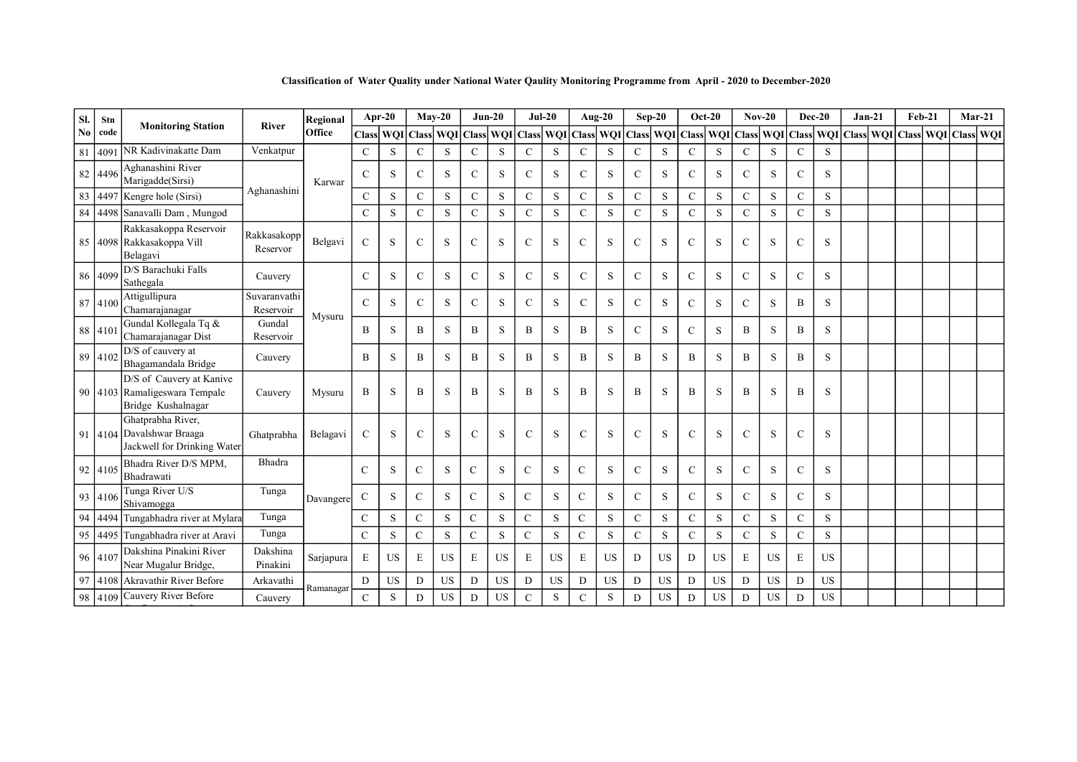Classification of Water Quality under National Water Qaulity Monitoring Programme from April - 2020 to December-2020

| SI.            | Stn     | <b>Monitoring Station</b>                                                       | <b>River</b>              | Regional  |               | Apr-20    |               | $Mav-20$                          | $Jun-20$      |                  |               | $Jul-20$   |                | Aug-20    |               | $Sep-20$    | $Oct-20$      |                                 | $Nov-20$      |             | $Dec-20$      |            |       | $Jan-21$  | $Feb-21$ | $Mar-21$      |  |
|----------------|---------|---------------------------------------------------------------------------------|---------------------------|-----------|---------------|-----------|---------------|-----------------------------------|---------------|------------------|---------------|------------|----------------|-----------|---------------|-------------|---------------|---------------------------------|---------------|-------------|---------------|------------|-------|-----------|----------|---------------|--|
| N <sub>0</sub> | code    |                                                                                 |                           | Office    | <b>Class</b>  |           |               | <b>WOI</b> Class <b>WOI</b> Class |               | <b>WOI</b> Class |               | <b>WOI</b> |                | Class WQI | <b>Class</b>  |             |               | WQI   Class   WQI   Class   WQI |               |             | <b>Class</b>  | <b>WOI</b> | Class | WOI Class |          | WOI Class WOI |  |
| 81             | 4091    | NR Kadivinakatte Dam                                                            | Venkatpur                 |           | $\mathcal{C}$ | S         | $\mathcal{C}$ | S                                 | $\mathsf{C}$  | S                | $\mathbf C$   | S          | $\mathbf C$    | S         | $\mathbf C$   | S           | $\mathbf C$   | S                               | $\mathsf{C}$  | S           | $\mathcal{C}$ | S          |       |           |          |               |  |
|                | 82 4496 | Aghanashini River<br>Marigadde(Sirsi)                                           |                           | Karwar    | $\mathcal{C}$ | S         | $\mathcal{C}$ | S                                 | $\mathcal{C}$ | S                | $\mathcal{C}$ | S          | $\mathcal{C}$  | S         | $\mathsf{C}$  | S           | $\mathbf C$   | S                               | $\mathcal{C}$ | S           | $\mathcal{C}$ | S          |       |           |          |               |  |
| 83             |         | 4497 Kengre hole (Sirsi)                                                        | Aghanashini               |           | $\mathcal{C}$ | S         | $\mathcal{C}$ | S                                 | $\mathsf{C}$  | S                | $\mathcal{C}$ | S          | $\mathbf C$    | S         | $\mathbf C$   | S           | $\mathbf C$   | S                               | $\mathsf{C}$  | S           | $\mathsf{C}$  | S          |       |           |          |               |  |
|                |         | 84 4498 Sanavalli Dam, Mungod                                                   |                           |           | $\mathbf C$   | S         | $\mathbf C$   | S                                 | $\mathbf C$   | S                | $\mathcal{C}$ | S          | $\mathbf C$    | S         | $\mathbf C$   | $\mathbf S$ | $\mathbf C$   | S                               | $\mathbf C$   | S.          | $\mathsf{C}$  | S          |       |           |          |               |  |
|                |         | Rakkasakoppa Reservoir<br>85 4098 Rakkasakoppa Vill<br>Belagavi                 | Rakkasakopp<br>Reservor   | Belgavi   | $\mathbf C$   | S         | $\mathcal{C}$ | S                                 | $\mathbf C$   | S                | $\mathcal{C}$ | S          | $\mathcal{C}$  | S         | $\mathbf C$   | S           | $\mathbf C$   | S                               | $\mathbf{C}$  | S           | $\mathsf{C}$  | S          |       |           |          |               |  |
|                | 86 4099 | D/S Barachuki Falls<br>Sathegala                                                | Cauvery                   |           | $\mathcal{C}$ | S         | $\mathcal{C}$ | S                                 | $\mathsf{C}$  | S                | $\mathcal{C}$ | S          | $\mathcal{C}$  | S         | $\mathsf{C}$  | S           | $\mathcal{C}$ | S                               | $\mathcal{C}$ | S           | $\mathsf{C}$  | S          |       |           |          |               |  |
|                | 87 4100 | Attigullipura<br>Chamarajanagar                                                 | Suvaranvathi<br>Reservoir | Mysuru    | $\mathcal{C}$ | S         | $\mathcal{C}$ | S                                 | $\mathcal{C}$ | S                | $\mathcal{C}$ | S          | $\mathcal{C}$  | S         | $\mathcal{C}$ | S           | $\mathcal{C}$ | S                               | $\mathbf{C}$  | S           | B             | S          |       |           |          |               |  |
|                | 88 4101 | Gundal Kollegala Tq &<br>Chamarajanagar Dist                                    | Gundal<br>Reservoir       |           | B             | S         | B             | S                                 | B             | S                | B             | S          | B              | S         | $\mathsf{C}$  | S           | $\mathcal{C}$ | S                               | B             | S           | B             | S          |       |           |          |               |  |
|                | 89 4102 | D/S of cauvery at<br>Bhagamandala Bridge                                        | Cauvery                   |           | B             | S         | B             | S                                 | B             | S                | B             | S          | $\overline{B}$ | S         | B             | S           | B             | S                               | B             | S           | B             | S          |       |           |          |               |  |
|                |         | D/S of Cauvery at Kanive<br>90 4103 Ramaligeswara Tempale<br>Bridge Kushalnagar | Cauvery                   | Mysuru    | B             | S         | B             | S                                 | B             | S                | B             | S          | $\bf{B}$       | S         | B             | S           | B             | S                               | B             | S           | B             | S          |       |           |          |               |  |
|                |         | Ghatprabha River,<br>91 4104 Davalshwar Braaga<br>Jackwell for Drinking Water   | Ghatprabha                | Belagavi  | $\mathcal{C}$ | S         | $\mathcal{C}$ | S                                 | $\mathbf C$   | S                | $\mathcal{C}$ | S          | $\mathcal{C}$  | S         | $\mathcal{C}$ | S           | $\mathbf C$   | S                               | $\mathcal{C}$ | S           | $\mathcal{C}$ | S          |       |           |          |               |  |
|                | 92 4105 | Bhadra River D/S MPM,<br>Bhadrawati                                             | Bhadra                    |           | $\mathcal{C}$ | S         | $\mathcal{C}$ | S                                 | $\mathbf C$   | S                | $\mathcal{C}$ | S          | $\mathcal{C}$  | S         | $\mathsf{C}$  | $\mathbf S$ | $\mathbf C$   | S                               | $\mathcal{C}$ | S           | $\mathcal{C}$ | S          |       |           |          |               |  |
|                | 93 4106 | Tunga River U/S<br>Shivamogga                                                   | Tunga                     | Davangere | $\mathbf C$   | S         | $\mathbf C$   | S                                 | $\mathbf C$   | $\,$ S           | $\mathcal{C}$ | S          | $\mathsf{C}$   | S         | $\mathbf C$   | S           | $\mathsf{C}$  | S                               | $\mathsf{C}$  | S           | $\mathbf C$   | S          |       |           |          |               |  |
|                | 94 4494 | Tungabhadra river at Mylara                                                     | Tunga                     |           | $\mathbf C$   | S         | ${\bf C}$     | S                                 | ${\bf C}$     | $\,$ S           | $\mathbf C$   | S          | $\mathbf C$    | S         | $\mathbf C$   | $\mathbf S$ | $\mathbf C$   | S                               | $\mathbf C$   | S           | $\mathsf{C}$  | S          |       |           |          |               |  |
| 95             | 4495    | Tungabhadra river at Aravi                                                      | Tunga                     |           | $\mathsf{C}$  | S         | $\mathcal{C}$ | S                                 | $\mathcal{C}$ | S                | $\mathcal{C}$ | S          | $\mathcal{C}$  | S         | $\mathcal{C}$ | S           | $\mathbf C$   | S                               | $\mathcal{C}$ | S           | $\mathcal{C}$ | S          |       |           |          |               |  |
|                | 96 4107 | Dakshina Pinakini River<br>Near Mugalur Bridge,                                 | Dakshina<br>Pinakini      | Sarjapura | E             | <b>US</b> | E             | <b>US</b>                         | E             | <b>US</b>        | E             | <b>US</b>  | E              | <b>US</b> | D             | <b>US</b>   | D             | <b>US</b>                       | E             | <b>US</b>   | $\mathbf E$   | <b>US</b>  |       |           |          |               |  |
|                |         | 97 4108 Akravathir River Before                                                 | Arkavathi                 | Ramanagar | D             | <b>US</b> | D             | US                                | D             | US               | $\mathbf D$   | US         | D              | US        | D             | US          | D             | US                              | D             | $_{\rm US}$ | $\mathbf D$   | US         |       |           |          |               |  |
|                | 98 4109 | Cauvery River Before                                                            | Cauvery                   |           | $\mathsf{C}$  | S         | D             | <b>US</b>                         | D             | <b>US</b>        | $\mathcal{C}$ | S          | $\mathbf C$    | S         | D             | <b>US</b>   | D             | <b>US</b>                       | D             | <b>US</b>   | D             | <b>US</b>  |       |           |          |               |  |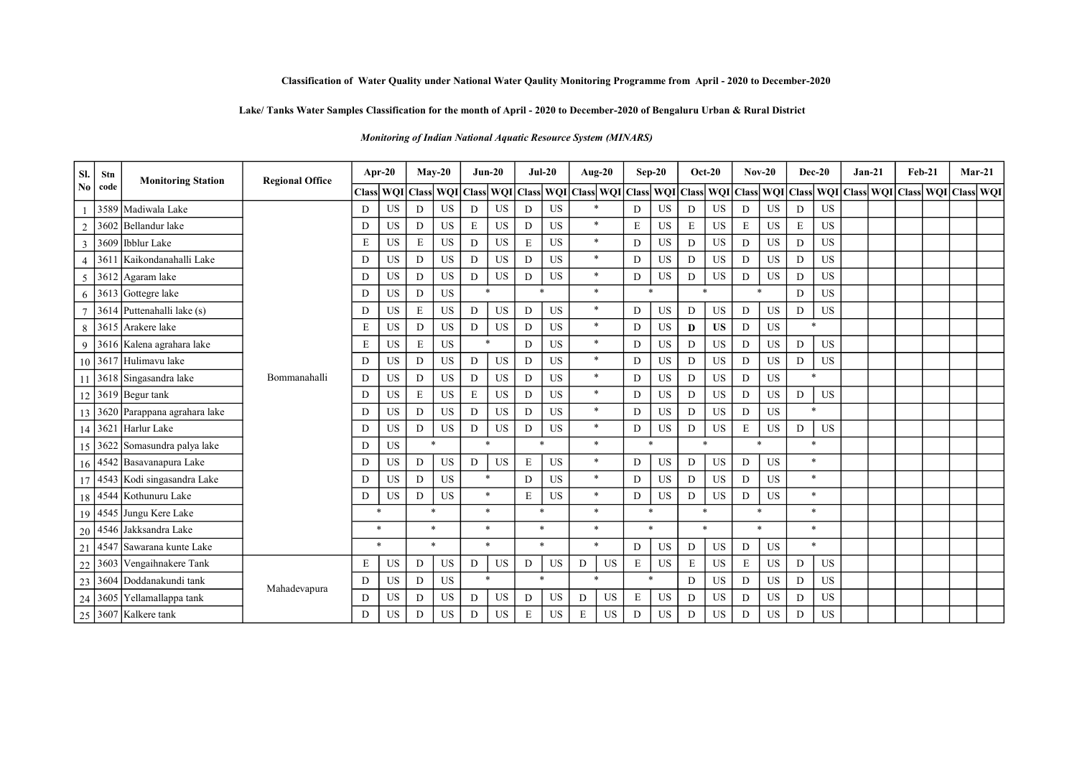### Lake/ Tanks Water Samples Classification for the month of April - 2020 to December-2020 of Bengaluru Urban & Rural District

Monitoring of Indian National Aquatic Resource System (MINARS)

| SI.            | Stn  | <b>Monitoring Station</b>       | <b>Regional Office</b> | Apr-20         |            |           | $Mav-20$  |              | $Jun-20$       | $Jul-20$         |           | Aug-20              |           | $Sep-20$     |                     |        | $Oct-20$  |         | $Nov-20$  |             | $Dec-20$    | $Jan-21$                                | $Feb-21$ |  | $Mar-21$          |
|----------------|------|---------------------------------|------------------------|----------------|------------|-----------|-----------|--------------|----------------|------------------|-----------|---------------------|-----------|--------------|---------------------|--------|-----------|---------|-----------|-------------|-------------|-----------------------------------------|----------|--|-------------------|
| N <sub>0</sub> | code |                                 |                        | <b>Class</b>   | <b>WOI</b> | Class WQI |           | <b>Class</b> |                | <b>WOI</b> Class |           | WQI Class WQI Class |           |              | WQI Class WQI Class |        |           |         |           |             |             | WQI   Class   WQI   Class   WQI   Class |          |  | WOI   Class   WOI |
|                |      | 3589 Madiwala Lake              |                        | D              | <b>US</b>  | D         | <b>US</b> | D            | <b>US</b>      | D                | <b>US</b> | $\ast$              |           | D            | <b>US</b>           | D      | <b>US</b> | D       | <b>US</b> | D           | <b>US</b>   |                                         |          |  |                   |
| $\overline{2}$ |      | 3602 Bellandur lake             |                        | D              | <b>US</b>  | D         | <b>US</b> | E            | <b>US</b>      | D                | <b>US</b> | $\ast$              |           | E            | US                  | E      | <b>US</b> | E       | <b>US</b> | $\mathbf E$ | <b>US</b>   |                                         |          |  |                   |
| $\overline{3}$ |      | 3609   Ibblur Lake              |                        | E              | <b>US</b>  | E         | <b>US</b> | D            | <b>US</b>      | E                | <b>US</b> | $\ast$              |           | D            | <b>US</b>           | D      | <b>US</b> | D       | <b>US</b> | D           | <b>US</b>   |                                         |          |  |                   |
| $\overline{4}$ | 361  | Kaikondanahalli Lake            |                        | D              | <b>US</b>  | D         | <b>US</b> | D            | <b>US</b>      | D                | <b>US</b> | $\ast$              |           | D            | <b>US</b>           | D      | <b>US</b> | D       | <b>US</b> | D           | <b>US</b>   |                                         |          |  |                   |
| 5              |      | 3612 Agaram lake                |                        | $\overline{D}$ | <b>US</b>  | D         | US.       | D            | <b>US</b>      | D                | <b>US</b> | $\ast$              |           | D            | <b>US</b>           | D      | <b>US</b> | D       | <b>US</b> | D           | <b>US</b>   |                                         |          |  |                   |
| 6              |      | 3613 Gottegre lake              |                        | D              | US         | D         | <b>US</b> | 来            |                | $\ast$           |           | $\ast$              |           | $\ast$       |                     | $\ast$ |           | $\ast$  |           | D           | <b>US</b>   |                                         |          |  |                   |
|                |      | 3614 Puttenahalli lake (s)      |                        | D              | <b>US</b>  | E         | <b>US</b> | D            | <b>US</b><br>D |                  | <b>US</b> | $\ast$              |           | D            | US                  | D      | <b>US</b> | D       | <b>US</b> | D           | <b>US</b>   |                                         |          |  |                   |
| 8              |      | 3615 Arakere lake               |                        | E              | <b>US</b>  | D         | US        | D            | US             | D                | <b>US</b> | $\ast$              |           | D            | US                  | D      | <b>US</b> | D       | <b>US</b> | ×           |             |                                         |          |  |                   |
| 9              |      | 3616 Kalena agrahara lake       |                        | E              | <b>US</b>  | E         | <b>US</b> | 来            |                | D                | <b>US</b> | $\ast$              |           | D            | <b>US</b>           | D      | <b>US</b> | D       | <b>US</b> | D           | <b>US</b>   |                                         |          |  |                   |
|                |      | 10 3617 Hulimavu lake           |                        | D              | <b>US</b>  | D         | US        | D            | US             | D                | <b>US</b> | $\ast$              |           | D            | US                  | D      | <b>US</b> | D       | US        | D           | US          |                                         |          |  |                   |
|                |      | 3618 Singasandra lake           | Bommanahalli           | D              | <b>US</b>  | D         | <b>US</b> | D            | US             | D                | <b>US</b> | $\ast$              |           | D            | US                  | D      | <b>US</b> | D       | <b>US</b> |             | $\ast$      |                                         |          |  |                   |
|                |      | $12$ 3619 Begur tank            |                        | D              | <b>US</b>  | E         | <b>US</b> | ${\bf E}$    | <b>US</b>      | D                | <b>US</b> | $\ast$              |           | D            | <b>US</b>           | D      | <b>US</b> | D       | <b>US</b> | D           | <b>US</b>   |                                         |          |  |                   |
|                |      | 13 3620 Parappana agrahara lake |                        | D              | US         | D         | <b>US</b> | D            | US             | D                | <b>US</b> | $\ast$              |           | D            | US                  | D      | US        | D       | <b>US</b> |             | $*$         |                                         |          |  |                   |
|                |      | 14 3621 Harlur Lake             |                        | D              | <b>US</b>  | D         | <b>US</b> | D            | US             | D                | <b>US</b> | $\ast$              |           | D            | US                  | D      | <b>US</b> | E       | <b>US</b> | D           | $_{\rm US}$ |                                         |          |  |                   |
|                |      | 15 3622 Somasundra palya lake   |                        | D              | <b>US</b>  | $\ast$    |           |              | $\ast$         | $\ast$           |           | $\ast$              |           | $\ast$       |                     | $\ast$ |           | $\star$ |           |             | $\ast$      |                                         |          |  |                   |
|                |      | 16 4542 Basavanapura Lake       |                        | D              | <b>US</b>  | D         | <b>US</b> | D            | <b>US</b>      | E                | <b>US</b> | $\ast$              |           | D            | <b>US</b>           | D      | <b>US</b> | D       | <b>US</b> |             | $\ast$      |                                         |          |  |                   |
|                |      | 17 4543 Kodi singasandra Lake   |                        | D              | US         | D         | <b>US</b> |              | $\ast$         | D                | <b>US</b> | $\ast$              |           | D            | US                  | D      | <b>US</b> | D       | <b>US</b> |             | $\ast$      |                                         |          |  |                   |
|                |      | 18 4544 Kothunuru Lake          |                        | D              | <b>US</b>  | D         | <b>US</b> |              | $\ast$         | E                | <b>US</b> | $\ast$              |           | D            | <b>US</b>           | D      | US.       | D       | <b>US</b> |             | $\ast$      |                                         |          |  |                   |
|                |      | 19 4545 Jungu Kere Lake         |                        | $\ast$         |            | $\ast$    |           |              | $\ast$         | $\ast$           |           | $\ast$              |           | $\ast$       |                     |        | $\ast$    |         | $\ast$    |             | $\ast$      |                                         |          |  |                   |
|                |      | 20   4546   Jakksandra Lake     |                        | $\ast$         |            | $\ast$    |           |              | $\ast$         | $\ast$           |           | $\ast$              |           | $\mathbf{x}$ |                     |        | $\ast$    |         | $\ast$    |             | $\ast$      |                                         |          |  |                   |
| 21             |      | 4547 Sawarana kunte Lake        |                        | $\ast$         |            | $\ast$    |           |              | $\ast$         | $\ast$           |           | $\ast$              |           | D            | US                  | D      | <b>US</b> | D       | US        |             | $*$         |                                         |          |  |                   |
| 22             |      | 3603 Vengaihnakere Tank         |                        | E              | US         | D         | <b>US</b> | D            | US             | D                | <b>US</b> | D                   | US        | $\mathbf E$  | US                  | E      | US        | E       | <b>US</b> | D           | <b>US</b>   |                                         |          |  |                   |
| 23             |      | 3604 Doddanakundi tank          | Mahadevapura           | D              | <b>US</b>  | D         | <b>US</b> |              | $\ast$         | $\ast$           |           | $\ast$              |           | $\ast$       |                     | D      | <b>US</b> | D       | <b>US</b> | D           | <b>US</b>   |                                         |          |  |                   |
|                |      | 24 3605 Yellamallappa tank      |                        | D              | US         | D         | <b>US</b> | D            | US             | D                | <b>US</b> | D                   | US        | E            | US                  | D      | <b>US</b> | D       | <b>US</b> | D           | <b>US</b>   |                                         |          |  |                   |
|                |      | 25 3607 Kalkere tank            |                        | D              | <b>US</b>  | D         | <b>US</b> | D            | <b>US</b>      | E                | <b>US</b> | E                   | <b>US</b> | D            | <b>US</b>           | D      | US.       | D       | <b>US</b> | D           | <b>US</b>   |                                         |          |  |                   |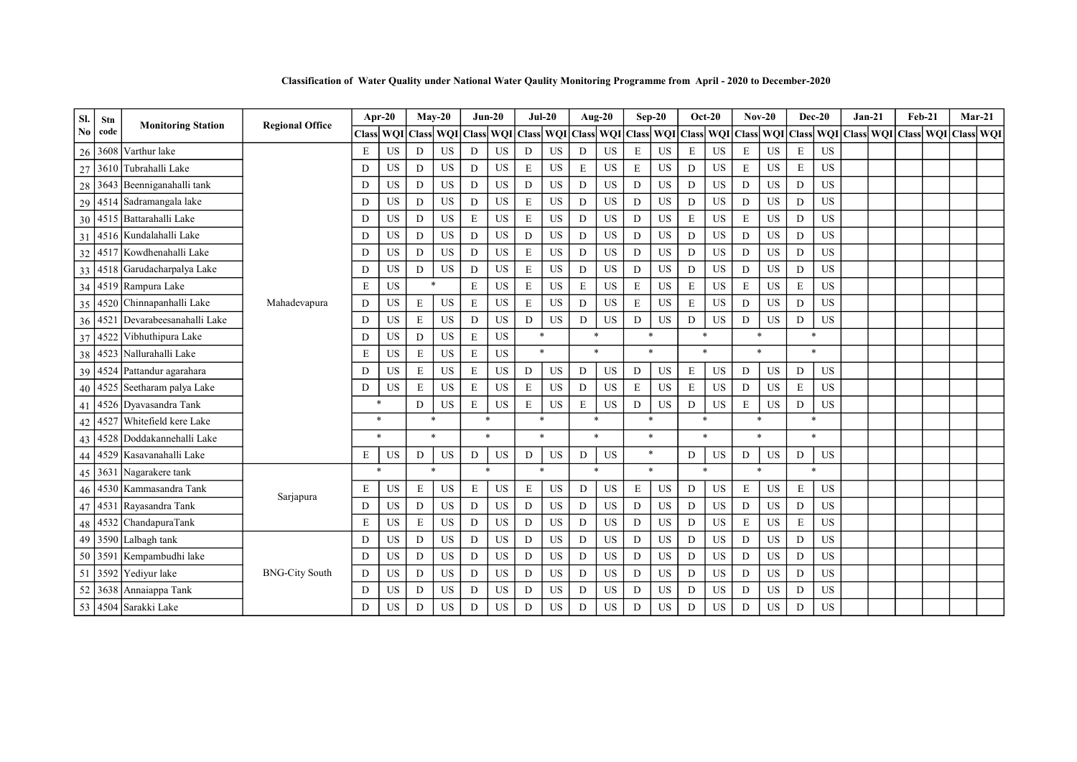Classification of Water Quality under National Water Qaulity Monitoring Programme from April - 2020 to December-2020

| SI.            | Stn  | <b>Monitoring Station</b>       | <b>Regional Office</b> | Apr-20       |            |              | $May-20$   |              | $Jun-20$   |              | $Jul-20$   |             | Aug-20    |              | $Sep-20$  |               | $Oct-20$  |             | $Nov-20$   | $Dec-20$     |            | $Jan-21$     |                  | <b>Feb-21</b> |               | $Mar-21$ |
|----------------|------|---------------------------------|------------------------|--------------|------------|--------------|------------|--------------|------------|--------------|------------|-------------|-----------|--------------|-----------|---------------|-----------|-------------|------------|--------------|------------|--------------|------------------|---------------|---------------|----------|
| N <sub>0</sub> | code |                                 |                        | <b>Class</b> | <b>WOI</b> | <b>Class</b> | <b>WOI</b> | <b>Class</b> | <b>WOI</b> | <b>Class</b> | <b>WOI</b> | Class WQI   |           | <b>Class</b> |           | WOI Class WOI |           | Class       | <b>WOI</b> | <b>Class</b> | <b>WOI</b> | <b>Class</b> | <b>WOI</b> Class |               | WOI Class WOI |          |
| 26             | 3608 | Varthur lake                    |                        | E            | <b>US</b>  | D            | <b>US</b>  | D            | <b>US</b>  | D            | <b>US</b>  | D           | <b>US</b> | $\mathbf E$  | <b>US</b> | E             | <b>US</b> | E           | <b>US</b>  | $\mathbf E$  | <b>US</b>  |              |                  |               |               |          |
| 27             | 3610 | Tubrahalli Lake                 |                        | D            | <b>US</b>  | D            | <b>US</b>  | D            | <b>US</b>  | E            | <b>US</b>  | E           | <b>US</b> | E            | <b>US</b> | D             | <b>US</b> | E           | <b>US</b>  | E            | <b>US</b>  |              |                  |               |               |          |
| 28             |      | 3643 Beenniganahalli tank       |                        | D            | <b>US</b>  | D            | <b>US</b>  | D            | <b>US</b>  | D            | <b>US</b>  | D           | <b>US</b> | $\mathbf D$  | <b>US</b> | D             | <b>US</b> | D           | US         | D            | <b>US</b>  |              |                  |               |               |          |
| 29             |      | 4514 Sadramangala lake          |                        | D            | US         | D            | <b>US</b>  | D            | <b>US</b>  | E            | <b>US</b>  | D           | <b>US</b> | D            | <b>US</b> | D             | <b>US</b> | D           | <b>US</b>  | D            | US         |              |                  |               |               |          |
|                |      | 30 4515 Battarahalli Lake       |                        | D            | US         | D            | <b>US</b>  | E            | <b>US</b>  | $\mathbf E$  | US         | D           | <b>US</b> | $\mathbf D$  | <b>US</b> | E             | US        | E           | <b>US</b>  | D            | US         |              |                  |               |               |          |
| 31             |      | 4516 Kundalahalli Lake          |                        | D            | <b>US</b>  | D            | <b>US</b>  | D            | <b>US</b>  | D            | <b>US</b>  | D           | <b>US</b> | D            | <b>US</b> | D             | <b>US</b> | D           | <b>US</b>  | D            | <b>US</b>  |              |                  |               |               |          |
| 32             |      | 4517 Kowdhenahalli Lake         |                        | D            | <b>US</b>  | D            | US         | D            | <b>US</b>  | $\mathbf E$  | US         | D           | US        | $\mathbf D$  | US        | D             | <b>US</b> | D           | US         | $\mathbf D$  | US         |              |                  |               |               |          |
| 33             |      | 4518 Garudacharpalya Lake       |                        | D            | <b>US</b>  | D            | <b>US</b>  | D            | <b>US</b>  | $\mathbf E$  | US         | D           | <b>US</b> | $\mathbf D$  | <b>US</b> | D             | <b>US</b> | D           | <b>US</b>  | $\mathbf D$  | US         |              |                  |               |               |          |
|                |      | 34 4519 Rampura Lake            |                        | E            | <b>US</b>  |              | $\ast$     | $\mathbf E$  | <b>US</b>  | $\mathbf E$  | US         | $\mathbf E$ | <b>US</b> | $\mathbf E$  | <b>US</b> | $\mathbf E$   | <b>US</b> | E           | US         | $\mathbf E$  | US         |              |                  |               |               |          |
| 35             |      | 4520 Chinnapanhalli Lake        | Mahadevapura           | D            | US         | E            | <b>US</b>  | $\mathbf E$  | <b>US</b>  | $\mathbf E$  | <b>US</b>  | D           | <b>US</b> | E            | <b>US</b> | E             | <b>US</b> | D           | <b>US</b>  | D            | US         |              |                  |               |               |          |
|                |      | 36 4521 Devarabeesanahalli Lake |                        | D            | US         | E            | <b>US</b>  | D            | <b>US</b>  | D            | US         | D           | <b>US</b> | $\mathbf D$  | <b>US</b> | D             | <b>US</b> | D           | US         | $\mathbf D$  | US         |              |                  |               |               |          |
| 37             |      | 4522 Vibhuthipura Lake          |                        | D            | US         | D            | <b>US</b>  | $\mathbf E$  | <b>US</b>  | $\ast$       |            | $\ast$      |           | $\ast$       |           | $\ast$        |           |             | $\ast$     | $\ast$       |            |              |                  |               |               |          |
| 38             |      | 4523 Nallurahalli Lake          |                        | E            | US         | E            | <b>US</b>  | $\mathbf E$  | <b>US</b>  | $\ast$       |            | $\ast$      |           |              | $\ast$    | $\ast$        |           |             | $\ast$     | $\ast$       |            |              |                  |               |               |          |
| 39             |      | 4524 Pattandur agarahara        |                        | D            | <b>US</b>  | E            | <b>US</b>  | $\mathbf E$  | <b>US</b>  | D            | <b>US</b>  | D           | <b>US</b> | D            | <b>US</b> | E             | <b>US</b> | D           | <b>US</b>  | D            | US         |              |                  |               |               |          |
| 40             |      | 4525 Seetharam palya Lake       |                        | D            | US         | E            | <b>US</b>  | E            | <b>US</b>  | E            | <b>US</b>  | D           | <b>US</b> | $\mathbf E$  | <b>US</b> | E             | <b>US</b> | D           | <b>US</b>  | $\mathbf E$  | US         |              |                  |               |               |          |
| 41             |      | 4526 Dyavasandra Tank           |                        | $\ast$       |            | D            | <b>US</b>  | ${\bf E}$    | <b>US</b>  | $\mathbf E$  | <b>US</b>  | $\mathbf E$ | <b>US</b> | $\mathbf D$  | <b>US</b> | D             | <b>US</b> | $\mathbf E$ | <b>US</b>  | D            | <b>US</b>  |              |                  |               |               |          |
| 42             |      | 4527 Whitefield kere Lake       |                        | $\ast$       |            |              | $\ast$     | $\ast$       |            | $\ast$       |            | $\ast$      |           | $\ast$       |           | $\ast$        |           |             | $\ast$     | *            |            |              |                  |               |               |          |
| 43             |      | 4528 Doddakannehalli Lake       |                        | $\ast$       |            |              | $\ast$     | $\ast$       |            | $\ast$       |            | $\ast$      |           |              | $\ast$    | $\ast$        |           |             | $\ast$     | $\mathbf{x}$ |            |              |                  |               |               |          |
| 44             |      | 4529 Kasavanahalli Lake         |                        | E            | US         | D            | US         | D            | <b>US</b>  | D            | <b>US</b>  | D           | <b>US</b> |              | $\ast$    | D             | <b>US</b> | D           | US         | D            | <b>US</b>  |              |                  |               |               |          |
|                |      | 45 3631 Nagarakere tank         |                        | $\ast$       |            |              |            | ×.           |            | $\ast$       |            | $\ast$      |           |              | $\ast$    | $\ast$        |           |             | $\ast$     |              |            |              |                  |               |               |          |
| 46             |      | 4530 Kammasandra Tank           |                        | E            | <b>US</b>  | E            | US         | E            | <b>US</b>  | E            | <b>US</b>  | D           | US        | E            | US        | D             | <b>US</b> | E           | <b>US</b>  | E            | US         |              |                  |               |               |          |
|                |      | 47 4531 Rayasandra Tank         | Sarjapura              | D            | <b>US</b>  | D            | <b>US</b>  | D            | <b>US</b>  | D            | <b>US</b>  | D           | <b>US</b> | D            | <b>US</b> | D             | <b>US</b> | D           | <b>US</b>  | D            | US         |              |                  |               |               |          |
| 48             |      | 4532 ChandapuraTank             |                        | E            | US         | E            | <b>US</b>  | D            | <b>US</b>  | D            | <b>US</b>  | D           | <b>US</b> | D            | <b>US</b> | D             | <b>US</b> | E           | <b>US</b>  | E            | <b>US</b>  |              |                  |               |               |          |
|                |      | 49 3590 Lalbagh tank            |                        | D            | <b>US</b>  | D            | <b>US</b>  | D            | <b>US</b>  | D            | US         | D           | <b>US</b> | $\mathbf D$  | <b>US</b> | D             | <b>US</b> | D           | <b>US</b>  | D            | <b>US</b>  |              |                  |               |               |          |
| 50             |      | 3591 Kempambudhi lake           |                        | D            | <b>US</b>  | D            | <b>US</b>  | D            | <b>US</b>  | D            | <b>US</b>  | D           | <b>US</b> | D            | US        | D             | <b>US</b> | D           | <b>US</b>  | D            | US         |              |                  |               |               |          |
| 51             |      | 3592 Yediyur lake               | <b>BNG-City South</b>  | D            | US         | D            | <b>US</b>  | D            | <b>US</b>  | D            | US         | D           | <b>US</b> | $\mathbf D$  | <b>US</b> | D             | <b>US</b> | D           | <b>US</b>  | $\mathbf D$  | <b>US</b>  |              |                  |               |               |          |
| 52             |      | 3638 Annaiappa Tank             |                        | D            | <b>US</b>  | D            | <b>US</b>  | D            | <b>US</b>  | D            | <b>US</b>  | D           | <b>US</b> | D            | <b>US</b> | D             | <b>US</b> | D           | <b>US</b>  | D            | <b>US</b>  |              |                  |               |               |          |
|                |      | 53 4504 Sarakki Lake            |                        | D            | US         | D            | <b>US</b>  | D            | <b>US</b>  | D            | US         | D           | <b>US</b> | $\mathbf D$  | <b>US</b> | D             | <b>US</b> | D           | <b>US</b>  | D            | <b>US</b>  |              |                  |               |               |          |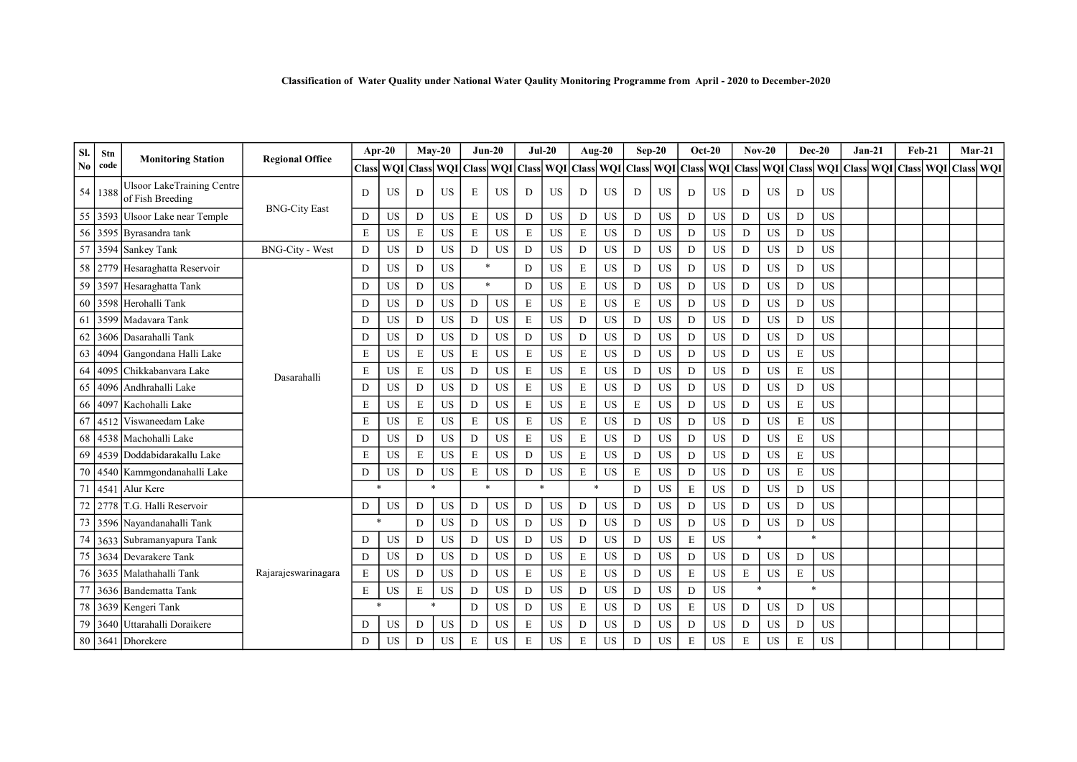|  |  | Classification of Water Quality under National Water Qaulity Monitoring Programme from April - 2020 to December-2020 |
|--|--|----------------------------------------------------------------------------------------------------------------------|
|  |  |                                                                                                                      |

| Sl.            | Stn     |                                                       | <b>Regional Office</b> | Apr-20       |           |        | $Mav-20$            | $Jun-20$    |           | $Jul-20$         |           |             | Aug-20              | $Sep-20$    |           |       | <b>Oct-20</b>    |        | $Nov-20$  |                      | $Dec-20$  | $Jan-21$                      | <b>Feb-21</b> |     | $Mar-21$         |  |
|----------------|---------|-------------------------------------------------------|------------------------|--------------|-----------|--------|---------------------|-------------|-----------|------------------|-----------|-------------|---------------------|-------------|-----------|-------|------------------|--------|-----------|----------------------|-----------|-------------------------------|---------------|-----|------------------|--|
| N <sub>0</sub> | code    | <b>Monitoring Station</b>                             |                        | <b>Class</b> |           |        | WQI Class WQI Class |             |           | <b>WQI</b> Class | WQI       |             | Class WQI Class WQI |             |           | Class | <b>WQI</b> Class |        |           |                      |           | WQI Class WQI Class WQI Class |               | WQI | <b>Class WQI</b> |  |
|                | 54 1388 | <b>JIsoor LakeTraining Centre</b><br>of Fish Breeding |                        | D            | <b>US</b> | D      | <b>US</b>           | E           | <b>US</b> | D                | <b>US</b> | D           | <b>US</b>           | D           | <b>US</b> | D     | <b>US</b>        | D      | <b>US</b> | D                    | <b>US</b> |                               |               |     |                  |  |
| 55             |         | 3593 Ulsoor Lake near Temple                          | <b>BNG-City East</b>   | D            | <b>US</b> | D      | <b>US</b>           | $\mathbf E$ | <b>US</b> | D                | <b>US</b> | D           | <b>US</b>           | D           | <b>US</b> | D     | <b>US</b>        | D      | <b>US</b> | $\mathbf D$          | <b>US</b> |                               |               |     |                  |  |
| 56             |         | 3595 Byrasandra tank                                  |                        | E            | US        | E      | US                  | E           | <b>US</b> | E                | <b>US</b> | $\mathbf E$ | <b>US</b>           | D           | <b>US</b> | D     | <b>US</b>        | D      | US        | D                    | <b>US</b> |                               |               |     |                  |  |
| 57             |         | 3594 Sankey Tank                                      | <b>BNG-City - West</b> | D            | US        | D      | <b>US</b>           | D           | <b>US</b> | D                | <b>US</b> | D           | <b>US</b>           | D           | US        | D     | <b>US</b>        | D      | <b>US</b> | $\mathbf D$          | <b>US</b> |                               |               |     |                  |  |
| 58             |         | 2779 Hesaraghatta Reservoir                           |                        | D            | <b>US</b> | D      | <b>US</b>           | $\ast$      |           | D                | <b>US</b> | E           | <b>US</b>           | D           | <b>US</b> | D     | <b>US</b>        | D      | <b>US</b> | D                    | <b>US</b> |                               |               |     |                  |  |
| 59             |         | 3597 Hesaraghatta Tank                                |                        | D            | <b>US</b> | D      | <b>US</b>           | $\ast$      |           | D                | <b>US</b> | E           | <b>US</b>           | $\mathbf D$ | <b>US</b> | D     | <b>US</b>        | D      | <b>US</b> | D                    | <b>US</b> |                               |               |     |                  |  |
| 60             |         | 3598 Herohalli Tank                                   |                        | D            | US        | D      | <b>US</b>           | D           | <b>US</b> | E                | <b>US</b> | E           | <b>US</b>           | $\mathbf E$ | <b>US</b> | D     | <b>US</b>        | D      | <b>US</b> | $\mathbf D$          | <b>US</b> |                               |               |     |                  |  |
| 61             |         | 3599 Madavara Tank                                    |                        | D            | US        | D      | <b>US</b>           | D           | <b>US</b> | E                | <b>US</b> | D           | <b>US</b>           | $\mathbf D$ | <b>US</b> | D     | <b>US</b>        | D      | <b>US</b> | D                    | <b>US</b> |                               |               |     |                  |  |
| 62             |         | 3606 Dasarahalli Tank                                 |                        | D            | <b>US</b> | D      | <b>US</b>           | D           | <b>US</b> | D                | <b>US</b> | D           | <b>US</b>           | D           | <b>US</b> | D     | <b>US</b>        | D      | <b>US</b> | D                    | <b>US</b> |                               |               |     |                  |  |
| 63             |         | 4094 Gangondana Halli Lake                            |                        | E            | <b>US</b> | E      | <b>US</b>           | E           | <b>US</b> | E                | <b>US</b> | E           | <b>US</b>           | D           | <b>US</b> | D     | <b>US</b>        | D      | US        | $\mathbf E$          | <b>US</b> |                               |               |     |                  |  |
| 64             |         | 4095 Chikkabanyara Lake                               | Dasarahalli            | E            | US        | E      | <b>US</b>           | D           | <b>US</b> | E                | <b>US</b> | E           | <b>US</b>           | D           | <b>US</b> | D     | <b>US</b>        | D      | <b>US</b> | E                    | <b>US</b> |                               |               |     |                  |  |
| 65             | 4096    | Andhrahalli Lake                                      |                        | D            | <b>US</b> | D      | <b>US</b>           | D           | <b>US</b> | E                | <b>US</b> | E           | <b>US</b>           | D           | <b>US</b> | D     | <b>US</b>        | D      | <b>US</b> | D                    | US        |                               |               |     |                  |  |
| 66             |         | 4097   Kachohalli Lake                                |                        | E            | <b>US</b> | E      | <b>US</b>           | D           | <b>US</b> | E                | <b>US</b> | E           | <b>US</b>           | E           | <b>US</b> | D     | <b>US</b>        | D      | <b>US</b> | $\mathbf E$          | <b>US</b> |                               |               |     |                  |  |
| 67             | 4512    | Viswaneedam Lake                                      |                        | E            | <b>US</b> | E      | <b>US</b>           | E           | <b>US</b> | E                | <b>US</b> | E           | <b>US</b>           | D           | <b>US</b> | D     | <b>US</b>        | D      | <b>US</b> | $\mathbf E$          | <b>US</b> |                               |               |     |                  |  |
| 68             |         | 4538 Machohalli Lake                                  |                        | D            | <b>US</b> | D      | <b>US</b>           | D           | <b>US</b> | E                | <b>US</b> | E           | <b>US</b>           | D           | <b>US</b> | D     | <b>US</b>        | D      | <b>US</b> | E                    | <b>US</b> |                               |               |     |                  |  |
| 69             |         | 4539 Doddabidarakallu Lake                            |                        | E            | <b>US</b> | E      | <b>US</b>           | E           | <b>US</b> | D                | US        | E           | <b>US</b>           | D           | <b>US</b> | D     | <b>US</b>        | D      | <b>US</b> | $\mathbf E$          | <b>US</b> |                               |               |     |                  |  |
| 70             |         | 4540 Kammgondanahalli Lake                            |                        | D            | <b>US</b> | D      | <b>US</b>           | E           | <b>US</b> | D                | <b>US</b> | E           | <b>US</b>           | $\mathbf E$ | <b>US</b> | D     | <b>US</b>        | D      | <b>US</b> | $\mathbf E$          | <b>US</b> |                               |               |     |                  |  |
| 71             | 4541    | Alur Kere                                             |                        | $\ast$       |           |        |                     | $\ast$      |           | $\ast$           |           |             | $\ast$              | D           | <b>US</b> | E     | <b>US</b>        | D      | <b>US</b> | D                    | <b>US</b> |                               |               |     |                  |  |
| 72             | 2778    | T.G. Halli Reservoir                                  |                        | D            | <b>US</b> | D      | <b>US</b>           | D           | <b>US</b> | D                | <b>US</b> | D           | <b>US</b>           | D           | <b>US</b> | D     | <b>US</b>        | D      | <b>US</b> | D                    | <b>US</b> |                               |               |     |                  |  |
| 73             |         | 3596 Nayandanahalli Tank                              |                        | $\ast$       |           | D      | <b>US</b>           | D           | <b>US</b> | D                | <b>US</b> | D           | <b>US</b>           | D           | <b>US</b> | D     | <b>US</b>        | D      | <b>US</b> | D                    | <b>US</b> |                               |               |     |                  |  |
| 74             |         | 3633 Subramanyapura Tank                              |                        | D            | US        | D      | US                  | D           | <b>US</b> | D                | <b>US</b> | D           | <b>US</b>           | D           | <b>US</b> | E     | <b>US</b>        | $\ast$ |           | $\ddot{\phantom{0}}$ |           |                               |               |     |                  |  |
| 75             |         | 3634 Devarakere Tank                                  |                        | D            | <b>US</b> | D      | <b>US</b>           | D           | <b>US</b> | D                | <b>US</b> | E           | <b>US</b>           | D           | <b>US</b> | D     | <b>US</b>        | D      | <b>US</b> | D                    | <b>US</b> |                               |               |     |                  |  |
| 76             |         | 3635 Malathahalli Tank                                | Rajarajeswarinagara    | E            | US        | D      | <b>US</b>           | D           | <b>US</b> | E                | <b>US</b> | E           | <b>US</b>           | D           | US        | E     | <b>US</b>        | E      | <b>US</b> | E                    | US        |                               |               |     |                  |  |
|                |         | 3636 Bandematta Tank                                  |                        | E            | US        | E      | <b>US</b>           | D           | <b>US</b> | D                | <b>US</b> | D           | <b>US</b>           | D           | <b>US</b> | D     | <b>US</b>        | $\ast$ |           | $\ast$               |           |                               |               |     |                  |  |
| 78             |         | 3639 Kengeri Tank                                     |                        | $\ast$       |           | $\ast$ |                     | D           | <b>US</b> | D                | <b>US</b> | E           | <b>US</b>           | D           | US        | E     | <b>US</b>        | D      | US        | $\mathbf D$          | <b>US</b> |                               |               |     |                  |  |
| 79             |         | 3640 Uttarahalli Doraikere                            |                        | D            | <b>US</b> | D      | <b>US</b>           | D           | <b>US</b> | E                | <b>US</b> | D           | <b>US</b>           | D           | <b>US</b> | D     | <b>US</b>        | D      | <b>US</b> | D                    | US        |                               |               |     |                  |  |
| 80             |         | 3641 Dhorekere                                        |                        | D            | <b>US</b> | D      | <b>US</b>           | ${\bf E}$   | <b>US</b> | E                | US        | E           | <b>US</b>           | D           | <b>US</b> | E     | US               | E      | US        | E                    | <b>US</b> |                               |               |     |                  |  |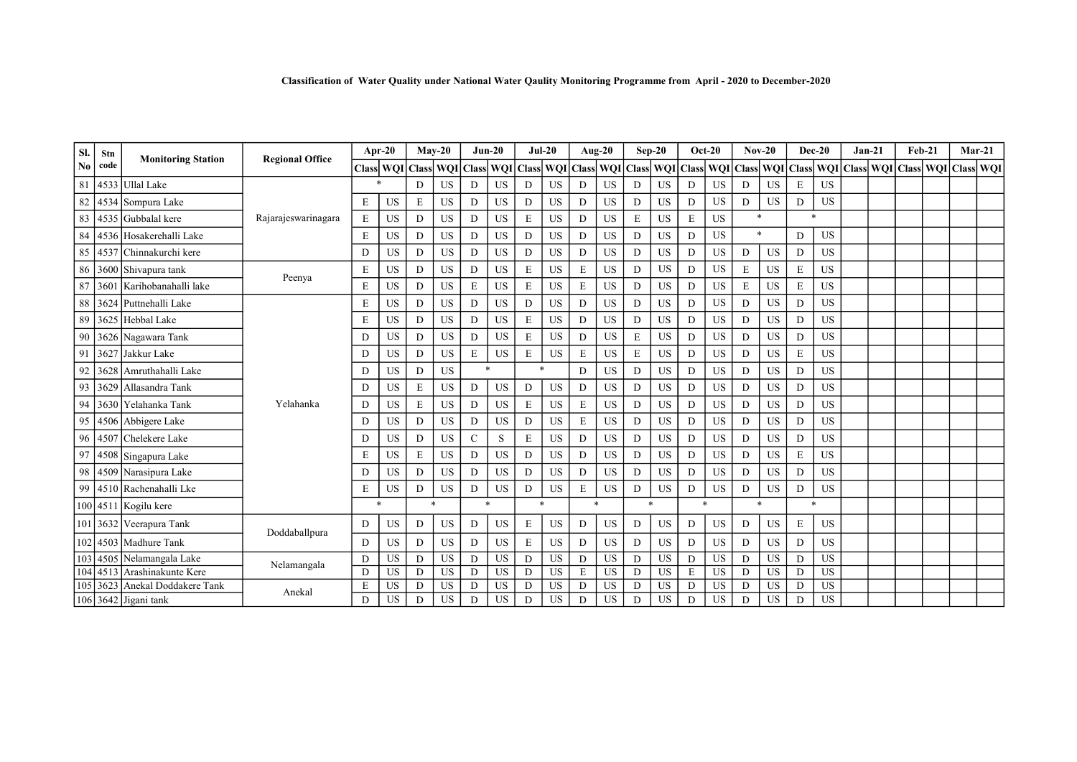| SI. | Stn      |                           |                        |             | Apr- $20$  | $Mav-20$     |            |               | $Jun-20$   | $Jul-20$     |           |               | Aug-20    |                      | $Sep-20$   | $Oct-20$         |           | $Nov-20$     |            |              | $Dec-20$  | $Jan-21$            | $Feb-21$ |            |                  | $Mar-21$ |
|-----|----------|---------------------------|------------------------|-------------|------------|--------------|------------|---------------|------------|--------------|-----------|---------------|-----------|----------------------|------------|------------------|-----------|--------------|------------|--------------|-----------|---------------------|----------|------------|------------------|----------|
| No  | code     | <b>Monitoring Station</b> | <b>Regional Office</b> | Classl      | <b>WOI</b> | <b>Class</b> | <b>WOI</b> | <b>Class</b>  | <b>WOI</b> | <b>Class</b> |           | WOI Class WOI |           | $\sf IClass^{\sf I}$ | <b>WQI</b> | <b>Class WOI</b> |           | <b>Class</b> | <b>WOI</b> | <b>Class</b> |           | WOI Class WOI Class |          | <b>WOI</b> | <b>Class WOI</b> |          |
| 81  |          | 4533 Ullal Lake           |                        |             |            | D            | <b>US</b>  | D             | <b>US</b>  | D            | <b>US</b> | D             | <b>US</b> | D                    | <b>US</b>  | D                | <b>US</b> | D            | <b>US</b>  | E            | US        |                     |          |            |                  |          |
| 82  |          | 4534 Sompura Lake         |                        | E           | <b>US</b>  | E            | <b>US</b>  | D             | <b>US</b>  | D            | <b>US</b> | D             | <b>US</b> | D                    | <b>US</b>  | D                | <b>US</b> | D            | US         | D            | <b>US</b> |                     |          |            |                  |          |
| 83  |          | 4535 Gubbalal kere        | Rajarajeswarinagara    | E           | US         | D            | <b>US</b>  | D             | <b>US</b>  | E            | <b>US</b> | D             | <b>US</b> | E                    | US         | E                | <b>US</b> | $\ast$       |            | $\ast$       |           |                     |          |            |                  |          |
| 84  |          | 4536 Hosakerehalli Lake   |                        | E           | <b>US</b>  | D            | <b>US</b>  | D             | <b>US</b>  | D            | <b>US</b> | D             | <b>US</b> | D                    | <b>US</b>  | D                | <b>US</b> | $\ast$       |            | D            | US        |                     |          |            |                  |          |
| 85  |          | 4537 Chinnakurchi kere    |                        | D           | <b>US</b>  | D            | <b>US</b>  | D             | <b>US</b>  | D            | <b>US</b> | D             | <b>US</b> | D                    | <b>US</b>  | D                | <b>US</b> | D            | <b>US</b>  | D            | <b>US</b> |                     |          |            |                  |          |
|     |          | 86 3600 Shivapura tank    |                        | E           | <b>US</b>  | D            | <b>US</b>  | D             | <b>US</b>  | E            | <b>US</b> | E             | <b>US</b> | D                    | <b>US</b>  | D                | <b>US</b> | E            | <b>US</b>  | $\mathbf E$  | <b>US</b> |                     |          |            |                  |          |
| 87  | 3601     | Karihobanahalli lake      | Peenya                 | E           | <b>US</b>  | D.           | <b>US</b>  | E             | <b>US</b>  | E            | <b>US</b> | E             | <b>US</b> | D                    | <b>US</b>  | D                | <b>US</b> | E            | <b>US</b>  | $\mathbf E$  | <b>US</b> |                     |          |            |                  |          |
| 88  | 3624     | Puttnehalli Lake          |                        | E           | US         | D            | <b>US</b>  | $\mathbf D$   | <b>US</b>  | D            | <b>US</b> | D             | <b>US</b> | $\mathbf D$          | US         | D                | <b>US</b> | D            | <b>US</b>  | D            | US        |                     |          |            |                  |          |
| 89  |          | 3625 Hebbal Lake          |                        | E           | <b>US</b>  | D            | <b>US</b>  | D             | <b>US</b>  | E            | <b>US</b> | D             | <b>US</b> | D                    | <b>US</b>  | D                | <b>US</b> | D            | US         | D            | <b>US</b> |                     |          |            |                  |          |
| 90  |          | 3626 Nagawara Tank        |                        | D           | US         | D            | <b>US</b>  | D             | <b>US</b>  | E            | <b>US</b> | D             | <b>US</b> | $\mathbf E$          | <b>US</b>  | D                | <b>US</b> | D            | <b>US</b>  | D            | <b>US</b> |                     |          |            |                  |          |
| 91  | 3627     | Jakkur Lake               |                        | D           | <b>US</b>  | D            | <b>US</b>  | $\mathbf E$   | <b>US</b>  | ${\bf E}$    | <b>US</b> | E             | <b>US</b> | $\mathbf E$          | <b>US</b>  | D                | <b>US</b> | D            | US         | $\mathbf E$  | US        |                     |          |            |                  |          |
| 92  |          | 3628 Amruthahalli Lake    |                        | D           | <b>US</b>  | D            | <b>US</b>  | $\rightarrow$ |            | $\ast$       |           | D             | <b>US</b> | D                    | <b>US</b>  | D                | <b>US</b> | D            | US         | D            | <b>US</b> |                     |          |            |                  |          |
| 93  |          | 3629   Allasandra Tank    |                        | D           | <b>US</b>  | E            | <b>US</b>  | D             | US         | D            | <b>US</b> | D             | <b>US</b> | D                    | <b>US</b>  | D                | <b>US</b> | D            | <b>US</b>  | D            | <b>US</b> |                     |          |            |                  |          |
| 94  |          | 3630 Yelahanka Tank       | Yelahanka              | D           | US         | E            | <b>US</b>  | D             | US         | E            | <b>US</b> | E             | US        | D                    | <b>US</b>  | D                | <b>US</b> | D            | <b>US</b>  | D            | <b>US</b> |                     |          |            |                  |          |
| 95  |          | 4506 Abbigere Lake        |                        | D           | <b>US</b>  | D            | <b>US</b>  | $\mathbf D$   | <b>US</b>  | D            | <b>US</b> | E             | <b>US</b> | D                    | <b>US</b>  | D                | <b>US</b> | D            | <b>US</b>  | D            | <b>US</b> |                     |          |            |                  |          |
| 96  | 4507     | Chelekere Lake            |                        | D           | <b>US</b>  | D.           | <b>US</b>  | $\mathbf C$   | S          | E            | <b>US</b> | D             | <b>US</b> | D                    | <b>US</b>  | D                | <b>US</b> | D            | US         | D            | <b>US</b> |                     |          |            |                  |          |
| 97  | 4508     | Singapura Lake            |                        | E           | US         | E            | <b>US</b>  | D             | US         | D            | <b>US</b> | D             | <b>US</b> | D                    | <b>US</b>  | D                | <b>US</b> | D            | <b>US</b>  | $\mathbf E$  | US        |                     |          |            |                  |          |
| 98  |          | 4509 Narasipura Lake      |                        | D           | <b>US</b>  | D.           | <b>US</b>  | D             | US         | D            | <b>US</b> | D             | <b>US</b> | D                    | US         | D                | <b>US</b> | D            | US         | D            | US        |                     |          |            |                  |          |
| 99  |          | 4510 Rachenahalli Lke     |                        | $\mathbf E$ | <b>US</b>  | D            | <b>US</b>  | D             | <b>US</b>  | D            | <b>US</b> | E             | <b>US</b> | D                    | <b>US</b>  | D                | <b>US</b> | D            | <b>US</b>  | D            | <b>US</b> |                     |          |            |                  |          |
|     |          | 100 4511 Kogilu kere      |                        | $\ast$      |            | $\ast$       |            | $\ast$        |            | $\ast$       |           |               | $\ast$    |                      |            | $\ast$           |           | $\ast$       |            |              | ×.        |                     |          |            |                  |          |
|     |          | 101 3632 Veerapura Tank   |                        | $\mathbf D$ | <b>US</b>  | D.           | <b>US</b>  | D             | <b>US</b>  | E            | <b>US</b> | D             | <b>US</b> | D                    | US         | D                | <b>US</b> | D            | <b>US</b>  | $\mathbf E$  | <b>US</b> |                     |          |            |                  |          |
|     |          | 102 4503 Madhure Tank     | Doddaballpura          | D           | <b>US</b>  | D            | <b>US</b>  | $\mathbf D$   | <b>US</b>  | E            | <b>US</b> | D             | <b>US</b> | $\mathbf D$          | US         | D                | <b>US</b> | D            | <b>US</b>  | D            | <b>US</b> |                     |          |            |                  |          |
|     | 103 4505 | Nelamangala Lake          |                        | D           | <b>US</b>  | D            | <b>US</b>  | D             | <b>US</b>  | D            | <b>US</b> | D             | <b>US</b> | D                    | <b>US</b>  | D                | <b>US</b> | D            | <b>US</b>  | D            | <b>US</b> |                     |          |            |                  |          |
|     | 104 4513 | Arashinakunte Kere        | Nelamangala            | D           | US         | D            | <b>US</b>  | $\mathbf D$   | <b>US</b>  | D            | US        | E             | <b>US</b> | D                    | <b>US</b>  | E                | <b>US</b> | D            | <b>US</b>  | D            | <b>US</b> |                     |          |            |                  |          |
|     | 105 3623 | Anekal Doddakere Tank     | Anekal                 | E           | <b>US</b>  | D            | <b>US</b>  | D             | <b>US</b>  | D            | <b>US</b> | D             | <b>US</b> | D                    | <b>US</b>  | D                | <b>US</b> | D            | <b>US</b>  | D            | <b>US</b> |                     |          |            |                  |          |
|     |          | 106 3642 Jigani tank      |                        | D           | <b>US</b>  | D            | <b>US</b>  | D             | <b>US</b>  | D            | <b>US</b> | D             | <b>US</b> | D                    | US         | D                | <b>US</b> | D            | <b>US</b>  | D            | <b>US</b> |                     |          |            |                  |          |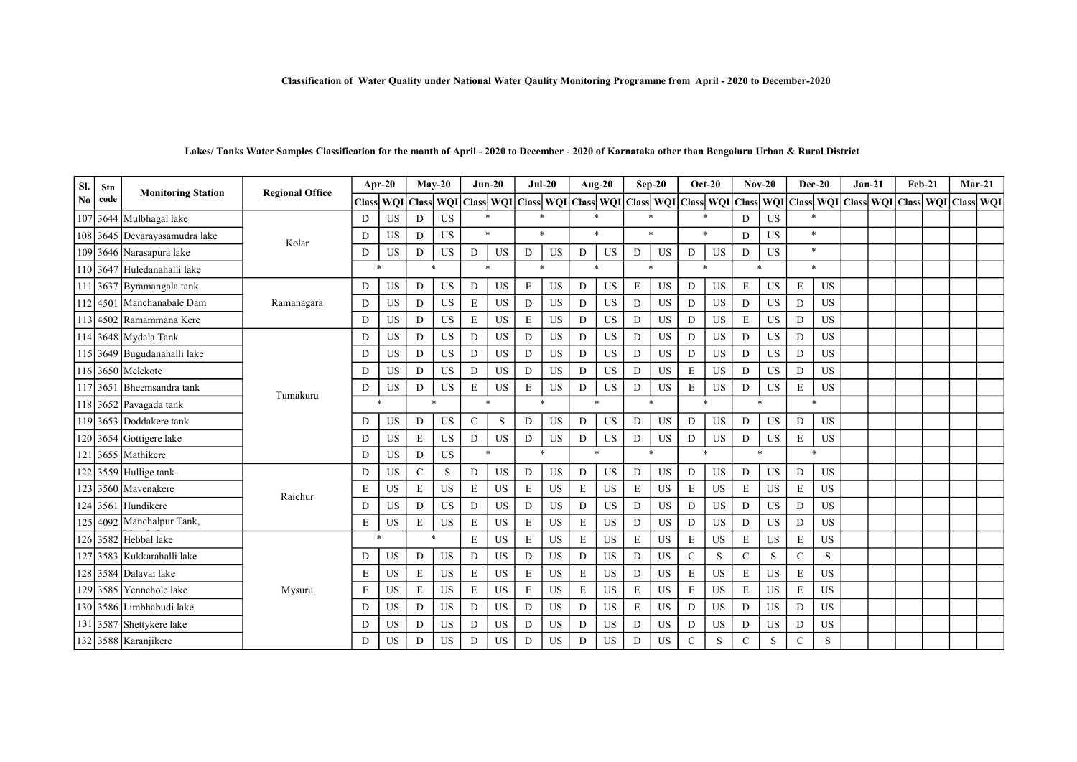| Sl.            | Stn      |                               | <b>Regional Office</b> | Apr-20 |            |                  | $Mav-20$  |             | $Jun-20$  |             | $Jul-20$  |             | Aug-20    |              | $Sep-20$                                                            |              | $Oct-20$  |              | $Nov-20$  | <b>Dec-20</b>       |           | $Jan-21$            | $Feb-21$     |     | $Mar-21$  |
|----------------|----------|-------------------------------|------------------------|--------|------------|------------------|-----------|-------------|-----------|-------------|-----------|-------------|-----------|--------------|---------------------------------------------------------------------|--------------|-----------|--------------|-----------|---------------------|-----------|---------------------|--------------|-----|-----------|
| N <sub>0</sub> | code     | <b>Monitoring Station</b>     |                        | Classl | <b>WOI</b> | <b>Class WOI</b> |           |             |           |             |           |             |           |              | Class   WQI   Class   WQI   Class   WQI   Class   WQI   Class   WQI |              |           | <b>Class</b> | WQI       |                     |           | Class WOI Class WOI | <b>Class</b> | WOI | Class WQI |
| 107            |          | 3644 Mulbhagal lake           |                        | D      | US         | D                | <b>US</b> | $\ast$      |           | $\ast$      |           |             |           |              | $\ast$                                                              | $\mathbf{A}$ |           | D            | <b>US</b> | $\ast$              |           |                     |              |     |           |
|                |          | 108 3645 Devarayasamudra lake | Kolar                  | D      | <b>US</b>  | D                | <b>US</b> | $\ast$      |           | $\ast$      |           |             | $\ast$    |              | $\star$                                                             | $\ast$       |           | D            | <b>US</b> | $\ast$              |           |                     |              |     |           |
|                |          | 109 3646 Narasapura lake      |                        | D      | <b>US</b>  | D                | <b>US</b> | D           | <b>US</b> | D           | US        | D           | <b>US</b> | D            | US                                                                  | D            | <b>US</b> | D            | <b>US</b> | $\ast$              |           |                     |              |     |           |
|                |          | 110 3647 Huledanahalli lake   |                        | $\ast$ |            | $\star$          |           | $\ast$      |           | $\star$     |           |             | $\ast$    |              | $\ast$                                                              | $\ast$       |           | $\ast$       |           | $\boldsymbol{\ast}$ |           |                     |              |     |           |
|                | 111 3637 | Byramangala tank              |                        | D      | <b>US</b>  | D                | <b>US</b> | D           | <b>US</b> | E           | <b>US</b> | D           | <b>US</b> | $\mathbf E$  | <b>US</b>                                                           | D            | <b>US</b> | E            | <b>US</b> | $\mathbf E$         | <b>US</b> |                     |              |     |           |
|                | 112 4501 | Manchanabale Dam              | Ramanagara             | D      | <b>US</b>  | D                | <b>US</b> | Ε           | <b>US</b> | D           | <b>US</b> | D           | <b>US</b> | D            | <b>US</b>                                                           | D            | <b>US</b> | D            | <b>US</b> | D                   | <b>US</b> |                     |              |     |           |
|                |          | 113 4502 Ramammana Kere       |                        | D      | <b>US</b>  | D                | <b>US</b> | E           | <b>US</b> | E           | US        | D           | <b>US</b> | D            | <b>US</b>                                                           | D            | <b>US</b> | E            | <b>US</b> | D                   | <b>US</b> |                     |              |     |           |
|                |          | 114 3648 Mydala Tank          |                        | D      | <b>US</b>  | D                | <b>US</b> | D           | <b>US</b> | D           | <b>US</b> | D           | <b>US</b> | $\mathbf{D}$ | US                                                                  | D            | <b>US</b> | D            | <b>US</b> | D                   | <b>US</b> |                     |              |     |           |
|                |          | 115 3649 Bugudanahalli lake   |                        | D      | <b>US</b>  | D                | <b>US</b> | D           | <b>US</b> | D           | US        | D           | <b>US</b> | D            | US                                                                  | D            | <b>US</b> | D            | <b>US</b> | D                   | <b>US</b> |                     |              |     |           |
|                |          | 116 3650 Melekote             |                        | D      | <b>US</b>  | D                | <b>US</b> | D           | <b>US</b> | D           | <b>US</b> | D           | <b>US</b> | D            | <b>US</b>                                                           | E            | <b>US</b> | D            | <b>US</b> | D                   | <b>US</b> |                     |              |     |           |
|                | 117 365  | Bheemsandra tank              |                        | D      | <b>US</b>  | D                | <b>US</b> | $\mathbf E$ | <b>US</b> | $\mathbf E$ | <b>US</b> | D           | <b>US</b> | $\mathbf D$  | US                                                                  | $\mathbf E$  | <b>US</b> | D            | <b>US</b> | $\mathbf E$         | <b>US</b> |                     |              |     |           |
|                |          | 118 3652 Pavagada tank        | Tumakuru               | $\ast$ |            |                  |           | ×.          |           | $\ast$      |           |             | $\ast$    |              |                                                                     |              | $\ast$    |              |           | $\ast$              |           |                     |              |     |           |
|                |          | 119 3653 Doddakere tank       |                        | D      | US         | D                | <b>US</b> | $\mathbf C$ | S         | D           | US        | D           | <b>US</b> | D            | US                                                                  | D            | <b>US</b> | D            | <b>US</b> | D                   | <b>US</b> |                     |              |     |           |
|                | 120 3654 | Gottigere lake                |                        | D      | <b>US</b>  | E                | <b>US</b> | D           | <b>US</b> | D           | US        | D           | <b>US</b> | D            | <b>US</b>                                                           | D            | <b>US</b> | D            | <b>US</b> | $\mathbf E$         | US        |                     |              |     |           |
|                |          | 121 3655 Mathikere            |                        | D      | <b>US</b>  | D                | <b>US</b> | $\ast$      |           | $\ast$      |           |             | $\ast$    |              | $\ast$                                                              |              | $\ast$    | $\ast$       |           | $\ast$              |           |                     |              |     |           |
|                |          | $122$ 3559 Hullige tank       |                        | D      | <b>US</b>  | $\mathcal{C}$    | S         | D           | <b>US</b> | D           | <b>US</b> | D           | <b>US</b> | D            | US                                                                  | D            | <b>US</b> | D            | <b>US</b> | D                   | US        |                     |              |     |           |
|                |          | 123 3560 Mavenakere           |                        | E      | <b>US</b>  | E                | <b>US</b> | E           | <b>US</b> | $\mathbf E$ | <b>US</b> | $\mathbf E$ | <b>US</b> | $\mathbf E$  | <b>US</b>                                                           | E            | <b>US</b> | E            | <b>US</b> | $\mathbf E$         | <b>US</b> |                     |              |     |           |
|                | 124 3561 | Hundikere                     | Raichur                | D      | <b>US</b>  | D                | <b>US</b> | D           | <b>US</b> | D           | <b>US</b> | D           | <b>US</b> | D            | <b>US</b>                                                           | D            | <b>US</b> | D            | <b>US</b> | D                   | <b>US</b> |                     |              |     |           |
|                | 125 4092 | Manchalpur Tank,              |                        | E      | US         | E                | <b>US</b> | E           | <b>US</b> | E           | US        | E           | <b>US</b> | D            | <b>US</b>                                                           | D            | <b>US</b> | D            | <b>US</b> | D                   | US        |                     |              |     |           |
|                |          | 126 3582 Hebbal lake          |                        | $\ast$ |            | $\star$          |           | E           | <b>US</b> | E           | <b>US</b> | E           | <b>US</b> | $\mathbf E$  | <b>US</b>                                                           | E            | <b>US</b> | E            | <b>US</b> | $\mathbf E$         | <b>US</b> |                     |              |     |           |
|                |          | 127 3583 Kukkarahalli lake    |                        | D      | US         | D                | <b>US</b> | D           | <b>US</b> | D           | <b>US</b> | D           | <b>US</b> | D            | <b>US</b>                                                           | $\mathsf{C}$ | S         | $\mathbf C$  | S         | $\mathbf C$         | S         |                     |              |     |           |
|                |          | 128 3584 Dalavai lake         |                        | E      | US         | E                | <b>US</b> | E           | <b>US</b> | $\mathbf E$ | <b>US</b> | E           | <b>US</b> | D            | <b>US</b>                                                           | E            | <b>US</b> | E            | <b>US</b> | $\mathbf E$         | <b>US</b> |                     |              |     |           |
|                | 129 3585 | Yennehole lake                | Mysuru                 | E      | <b>US</b>  | E                | <b>US</b> | E           | <b>US</b> | $\mathbf E$ | <b>US</b> | E           | <b>US</b> | $\mathbf E$  | <b>US</b>                                                           | $\mathbf E$  | <b>US</b> | E            | <b>US</b> | $\mathbf E$         | <b>US</b> |                     |              |     |           |
|                |          | 130 3586 Limbhabudi lake      |                        | D      | <b>US</b>  | D                | US        | D           | <b>US</b> | D           | <b>US</b> | D           | <b>US</b> | E            | US                                                                  | D            | <b>US</b> | D            | <b>US</b> | D                   | <b>US</b> |                     |              |     |           |
|                | 131 3587 | Shettykere lake               |                        | D      | <b>US</b>  | D                | <b>US</b> | D           | <b>US</b> | D           | <b>US</b> | D           | <b>US</b> | D            | <b>US</b>                                                           | D            | <b>US</b> | D            | <b>US</b> | D                   | <b>US</b> |                     |              |     |           |
|                |          | 132 3588 Karanjikere          |                        | D      | <b>US</b>  | D                | <b>US</b> | D           | <b>US</b> | D           | <b>US</b> | D           | <b>US</b> | D            | <b>US</b>                                                           | $\mathsf{C}$ | S         | C            | S         | $\mathsf{C}$        | S         |                     |              |     |           |

### Lakes/ Tanks Water Samples Classification for the month of April - 2020 to December - 2020 of Karnataka other than Bengaluru Urban & Rural District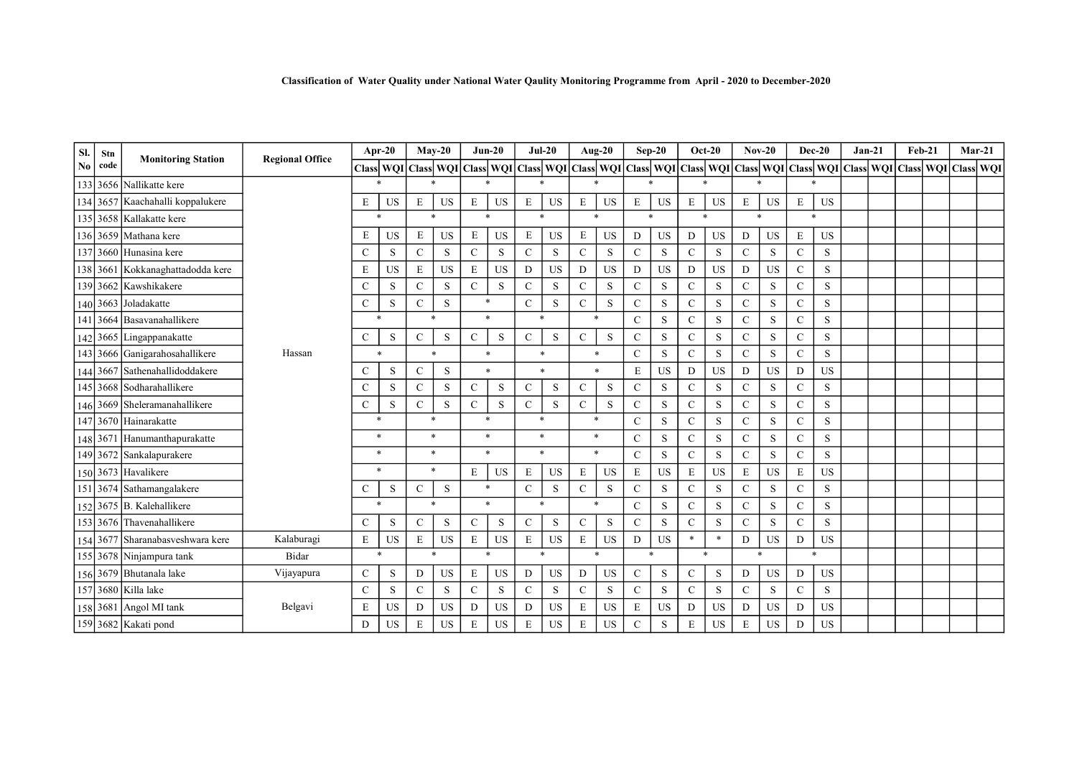| SI.            | Stn  |                                  | <b>Regional Office</b> | Apr-20        |           | $Mav-20$      |                                                                                                                                                           |              | $Jun-20$            |               | $Jul-20$  |               | Aug-20      |               | $Sep-20$    |               | $Oct-20$  |               | $Nov-20$  |               | $Dec-20$     |  | $Jan-21$ | Feb-21 |  | $Mar-21$ |  |
|----------------|------|----------------------------------|------------------------|---------------|-----------|---------------|-----------------------------------------------------------------------------------------------------------------------------------------------------------|--------------|---------------------|---------------|-----------|---------------|-------------|---------------|-------------|---------------|-----------|---------------|-----------|---------------|--------------|--|----------|--------|--|----------|--|
| N <sub>0</sub> | code | <b>Monitoring Station</b>        |                        |               |           |               | Class  WQI Class  WQI Class  WQI Class  WQI Class  WQI Class  WQI Class  WQI Class  WQI Class  WQI Class  WQI Class  WQI Class  WQI Class  WQI Class  WQI |              |                     |               |           |               |             |               |             |               |           |               |           |               |              |  |          |        |  |          |  |
|                |      | 133 3656 Nallikatte kere         |                        |               |           |               |                                                                                                                                                           |              | $\ast$              |               |           |               |             |               |             |               |           |               |           |               |              |  |          |        |  |          |  |
|                |      | 134 3657 Kaachahalli koppalukere |                        | E             | <b>US</b> | E             | <b>US</b>                                                                                                                                                 | $\mathbf E$  | <b>US</b>           | E             | US        | E             | US          | E             | US          | E             | <b>US</b> | E             | US        | $\mathbf E$   | US           |  |          |        |  |          |  |
|                |      | 135 3658 Kallakatte kere         |                        | $\ast$        |           | $\ast$        |                                                                                                                                                           | $\mathbf{x}$ |                     | $\star$       |           | $\ast$        |             | $\mathbf{x}$  |             | $\ast$        |           | $\ast$        |           |               | $\mathbf{x}$ |  |          |        |  |          |  |
|                |      | 136 3659 Mathana kere            |                        | E             | <b>US</b> | E             | $_{\rm US}$                                                                                                                                               | $\mathbf E$  | <b>US</b>           | E             | US        | E             | US          | D             | <b>US</b>   | D             | <b>US</b> | D             | US        | $\mathbf E$   | US           |  |          |        |  |          |  |
| 137            | 3660 | Hunasina kere                    |                        | $\mathcal{C}$ | S         | $\mathcal{C}$ | S                                                                                                                                                         | $\mathsf{C}$ | S                   | $\mathcal{C}$ | S         | $\mathcal{C}$ | S           | $\mathcal{C}$ | S           | $\mathcal{C}$ | S         | $\mathbf C$   | S         | $\mathsf{C}$  | S            |  |          |        |  |          |  |
|                |      | 138 3661 Kokkanaghattadodda kere |                        | E             | <b>US</b> | $\mathbf E$   | <b>US</b>                                                                                                                                                 | $\mathbf E$  | <b>US</b>           | D             | <b>US</b> | D             | <b>US</b>   | D             | <b>US</b>   | D             | <b>US</b> | D             | <b>US</b> | $\mathbf C$   | S            |  |          |        |  |          |  |
|                |      | 139 3662 Kawshikakere            |                        | $\mathcal{C}$ | S         | $\mathcal{C}$ | S                                                                                                                                                         | $\mathbf C$  | S                   | $\mathcal{C}$ | S         | $\mathcal{C}$ | S           | $\mathcal{C}$ | $\,$ S      | $\mathbf C$   | S         | $\mathsf{C}$  | S         | $\mathbf C$   | S            |  |          |        |  |          |  |
|                |      | 140 3663 Joladakatte             |                        | $\mathcal{C}$ | S         | $\mathbf C$   | $\mathbf S$                                                                                                                                               |              | $\ast$              | $\mathbf C$   | S         | $\mathbf C$   | S           | $\mathbf C$   | S           | $\mathbf C$   | S         | $\mathbf{C}$  | S         | $\mathbf C$   | S            |  |          |        |  |          |  |
| 141            |      | 3664 Basayanahallikere           |                        |               | $\ast$    | $\ast$        |                                                                                                                                                           | $\ast$       |                     | $\ast$        |           | $\ast$        |             | $\mathcal{C}$ | S           | $\mathcal{C}$ | S         | $\mathbf C$   | S         | $\mathsf{C}$  | S            |  |          |        |  |          |  |
|                |      | 142 3665 Lingappanakatte         |                        | $\mathcal{C}$ | S         | $\mathbf C$   | S                                                                                                                                                         | $\mathbf C$  | S                   | $\mathsf{C}$  | S         | $\mathbf C$   | $\mathbf S$ | $\mathbf C$   | $\,$ S      | $\mathbf C$   | S         | $\mathbf C$   | S         | ${\bf C}$     | S            |  |          |        |  |          |  |
|                |      | 143 3666 Ganigarahosahallikere   | Hassan                 | $\ast$        |           | $\ast$        |                                                                                                                                                           | $\ast$       |                     | $\ast$        |           | $\ast$        |             | $\mathbf C$   | ${\bf S}$   | $\mathbf C$   | S         | $\mathbf{C}$  | S         | ${\bf C}$     | S            |  |          |        |  |          |  |
|                |      | 144 3667 Sathenahallidoddakere   |                        | $\mathsf{C}$  | S         | $\mathcal{C}$ | S                                                                                                                                                         |              | $\boldsymbol{\ast}$ | $\ast$        |           |               | $\star$     | E             | US          | D             | <b>US</b> | D             | <b>US</b> | D             | US           |  |          |        |  |          |  |
|                |      | 145 3668 Sodharahallikere        |                        | $\mathsf{C}$  | S         | $\mathcal{C}$ | S                                                                                                                                                         | $\mathsf{C}$ | S                   | $\mathsf{C}$  | S         | $\mathbf C$   | S           | $\mathbf C$   | $\,$ S      | $\mathsf{C}$  | S         | $\mathbf C$   | S         | $\mathsf{C}$  | S            |  |          |        |  |          |  |
|                |      | 146 3669 Sheleramanahallikere    |                        | $\mathsf{C}$  | S         | $\mathcal{C}$ | S                                                                                                                                                         | $\mathsf{C}$ | S                   | $\mathsf{C}$  | S         | $\mathbf C$   | $\mathbf S$ | $\mathbf C$   | S           | $\mathcal{C}$ | S         | $\mathbf C$   | S         | $\mathsf{C}$  | S            |  |          |        |  |          |  |
|                |      | 147 3670 Hainarakatte            |                        | $\ast$        |           | $\ast$        |                                                                                                                                                           | $\ast$       |                     | $\ast$        |           |               | $\ast$      | $\mathcal{C}$ | $\,$ S      | $\mathbf C$   | S         | $\mathbf C$   | S         | $\mathbf C$   | S            |  |          |        |  |          |  |
|                |      | 148 3671 Hanumanthapurakatte     |                        | $\ast$        |           | $\ast$        |                                                                                                                                                           | $\ast$       |                     | $\ast$        |           | $\ast$        |             | $\mathbf C$   | S           | $\mathbf C$   | S         | $\mathbf C$   | S         | $\mathbf C$   | S            |  |          |        |  |          |  |
|                |      | 149 3672 Sankalapurakere         |                        | $\ast$        |           | $\ast$        |                                                                                                                                                           | $\ast$       |                     | $\star$       |           | $\ast$        |             | $\mathcal{C}$ | $\mathbf S$ | $\mathbf C$   | S         | $\mathbf C$   | S         | $\mathbf C$   | ${\bf S}$    |  |          |        |  |          |  |
|                |      | 150 3673 Havalikere              |                        |               | $\ast$    |               | $\ast$                                                                                                                                                    | $\mathbf E$  | <b>US</b>           | $\mathbf E$   | <b>US</b> | E             | US          | $\mathbf E$   | <b>US</b>   | $\mathbf E$   | <b>US</b> | E             | <b>US</b> | $\mathbf E$   | US           |  |          |        |  |          |  |
| 151            |      | 3674 Sathamangalakere            |                        | $\mathsf{C}$  | S         | $\mathcal{C}$ | S                                                                                                                                                         |              | $\ast$              | $\mathcal{C}$ | S         | $\mathbf C$   | S           | $\mathcal{C}$ | S           | $\mathcal{C}$ | S         | $\mathbf C$   | S         | $\mathcal{C}$ | S            |  |          |        |  |          |  |
|                |      | 152 3675 B. Kalehallikere        |                        |               | $\ast$    |               | $\ast$                                                                                                                                                    |              | $\ast$              | $\ast$        |           |               | $\ast$      | $\mathcal{C}$ | S           | $\mathbf C$   | S         | $\mathbf C$   | S         | $\mathbf C$   | S            |  |          |        |  |          |  |
|                |      | 153 3676 Thavenahallikere        |                        | $\mathcal{C}$ | S         | $\mathcal{C}$ | S                                                                                                                                                         | $\mathsf{C}$ | S                   | $\mathsf{C}$  | S         | $\mathcal{C}$ | S           | $\mathcal{C}$ | S           | $\mathcal{C}$ | S         | $\mathcal{C}$ | S         | $\mathsf{C}$  | S            |  |          |        |  |          |  |
|                |      | 154 3677 Sharanabasveshwara kere | Kalaburagi             | $\mathbf E$   | <b>US</b> | E             | <b>US</b>                                                                                                                                                 | $\mathbf E$  | <b>US</b>           | $\mathbf E$   | <b>US</b> | E             | <b>US</b>   | D             | <b>US</b>   | $\ast$        | $\ast$    | D             | <b>US</b> | D             | US           |  |          |        |  |          |  |
|                |      | 155 3678 Ninjampura tank         | Bidar                  |               | $\ast$    | $\ast$        |                                                                                                                                                           |              | $\ast$              | $\ast$        |           | $\ast$        |             | $\mathbf{r}$  |             | $\star$       |           | $\ast$        |           | ×.            |              |  |          |        |  |          |  |
|                |      | 156 3679 Bhutanala lake          | Vijayapura             | $\mathcal{C}$ | S         | D             | <b>US</b>                                                                                                                                                 | E            | <b>US</b>           | D             | <b>US</b> | D             | <b>US</b>   | $\mathbf C$   | $\,$ S      | $\mathbf C$   | S         | D             | <b>US</b> | D             | US           |  |          |        |  |          |  |
|                |      | 157 3680 Killa lake              |                        | $\mathcal{C}$ | S         | $\mathbf C$   | S                                                                                                                                                         | $\mathbf C$  | S                   | $\mathcal{C}$ | $\,$ S    | $\mathbf C$   | S           | ${\bf C}$     | $\,$ S      | $\mathbf C$   | S         | $\mathbf C$   | S         | $\mathbf C$   | S            |  |          |        |  |          |  |
|                |      | 158 3681 Angol MI tank           | Belgavi                | Ε             | US        | D             | <b>US</b>                                                                                                                                                 | D            | <b>US</b>           | D             | <b>US</b> | E             | <b>US</b>   | E             | US          | D             | <b>US</b> | D             | <b>US</b> | D             | US           |  |          |        |  |          |  |
|                |      | 159 3682 Kakati pond             |                        | D             | <b>US</b> | E             | <b>US</b>                                                                                                                                                 | $\mathbf E$  | <b>US</b>           | $\mathbf E$   | <b>US</b> | E             | <b>US</b>   | $\mathbf C$   | S           | E             | <b>US</b> | E             | US        | $\mathbf D$   | US           |  |          |        |  |          |  |